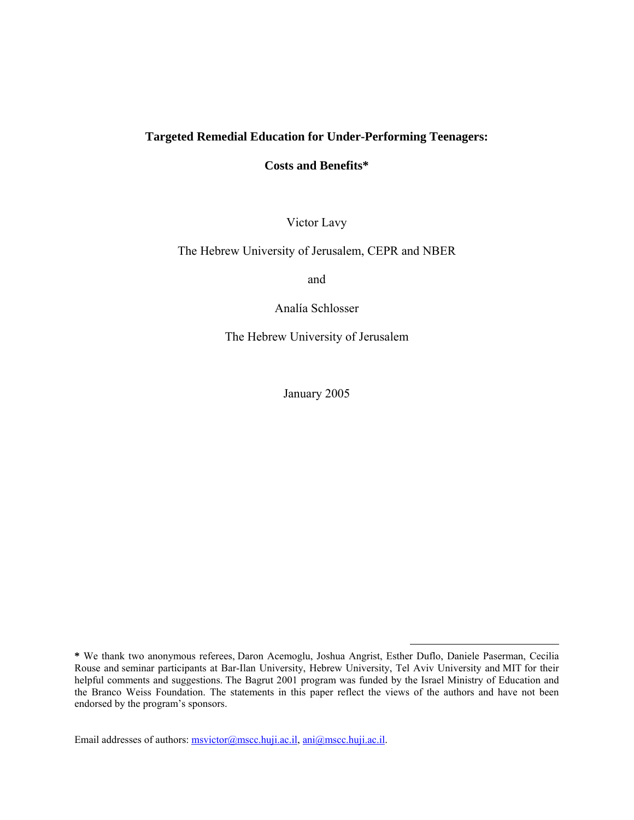# **Targeted Remedial Education for Under-Performing Teenagers:**

## **Costs and Benefits\***

Victor Lavy

The Hebrew University of Jerusalem, CEPR and NBER

and

Analía Schlosser

The Hebrew University of Jerusalem

January 2005

 $\overline{a}$ 

Email addresses of authors: msvictor@mscc.huji.ac.il, ani@mscc.huji.ac.il.

**<sup>\*</sup>** We thank two anonymous referees, Daron Acemoglu, Joshua Angrist, Esther Duflo, Daniele Paserman, Cecilia Rouse and seminar participants at Bar-Ilan University, Hebrew University, Tel Aviv University and MIT for their helpful comments and suggestions. The Bagrut 2001 program was funded by the Israel Ministry of Education and the Branco Weiss Foundation. The statements in this paper reflect the views of the authors and have not been endorsed by the program's sponsors.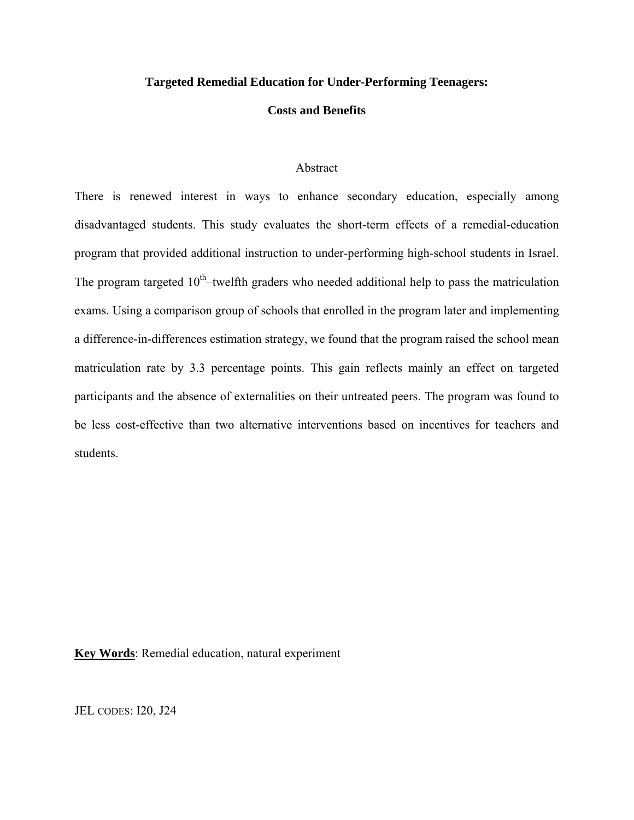### **Targeted Remedial Education for Under-Performing Teenagers:**

### **Costs and Benefits**

### Abstract

There is renewed interest in ways to enhance secondary education, especially among disadvantaged students. This study evaluates the short-term effects of a remedial-education program that provided additional instruction to under-performing high-school students in Israel. The program targeted  $10<sup>th</sup>$ –twelfth graders who needed additional help to pass the matriculation exams. Using a comparison group of schools that enrolled in the program later and implementing a difference-in-differences estimation strategy, we found that the program raised the school mean matriculation rate by 3.3 percentage points. This gain reflects mainly an effect on targeted participants and the absence of externalities on their untreated peers. The program was found to be less cost-effective than two alternative interventions based on incentives for teachers and students.

**Key Words**: Remedial education, natural experiment

JEL CODES: I20, J24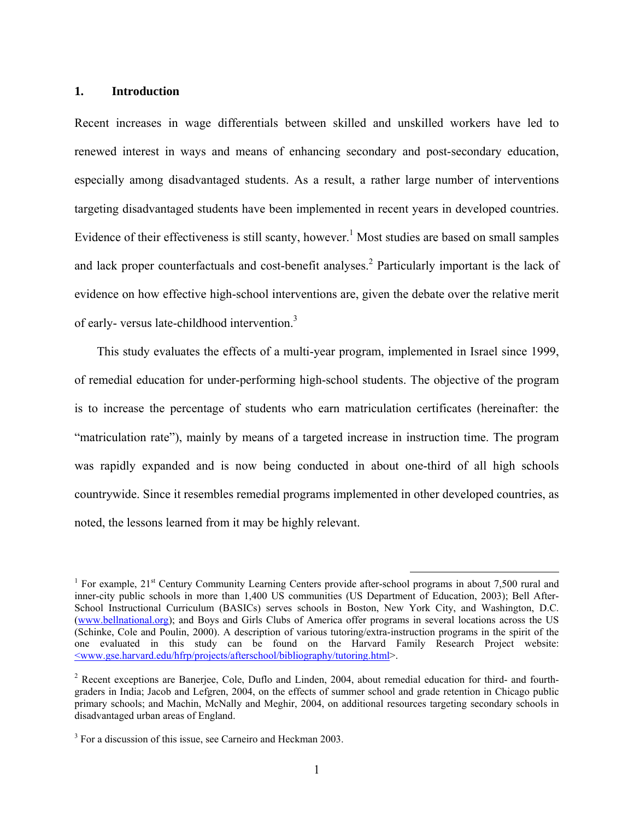## **1. Introduction**

Recent increases in wage differentials between skilled and unskilled workers have led to renewed interest in ways and means of enhancing secondary and post-secondary education, especially among disadvantaged students. As a result, a rather large number of interventions targeting disadvantaged students have been implemented in recent years in developed countries. Evidence of their effectiveness is still scanty, however.<sup>1</sup> Most studies are based on small samples and lack proper counterfactuals and cost-benefit analyses.<sup>2</sup> Particularly important is the lack of evidence on how effective high-school interventions are, given the debate over the relative merit of early- versus late-childhood intervention.<sup>3</sup>

This study evaluates the effects of a multi-year program, implemented in Israel since 1999, of remedial education for under-performing high-school students. The objective of the program is to increase the percentage of students who earn matriculation certificates (hereinafter: the "matriculation rate"), mainly by means of a targeted increase in instruction time. The program was rapidly expanded and is now being conducted in about one-third of all high schools countrywide. Since it resembles remedial programs implemented in other developed countries, as noted, the lessons learned from it may be highly relevant.

<sup>&</sup>lt;sup>1</sup> For example, 21<sup>st</sup> Century Community Learning Centers provide after-school programs in about 7,500 rural and inner-city public schools in more than 1,400 US communities (US Department of Education, 2003); Bell After-School Instructional Curriculum (BASICs) serves schools in Boston, New York City, and Washington, D.C. (www.bellnational.org); and Boys and Girls Clubs of America offer programs in several locations across the US (Schinke, Cole and Poulin, 2000). A description of various tutoring/extra-instruction programs in the spirit of the one evaluated in this study can be found on the Harvard Family Research Project website: <www.gse.harvard.edu/hfrp/projects/afterschool/bibliography/tutoring.html>.

<sup>&</sup>lt;sup>2</sup> Recent exceptions are Banerjee, Cole, Duflo and Linden, 2004, about remedial education for third- and fourthgraders in India; Jacob and Lefgren, 2004, on the effects of summer school and grade retention in Chicago public primary schools; and Machin, McNally and Meghir, 2004, on additional resources targeting secondary schools in disadvantaged urban areas of England.

<sup>&</sup>lt;sup>3</sup> For a discussion of this issue, see Carneiro and Heckman 2003.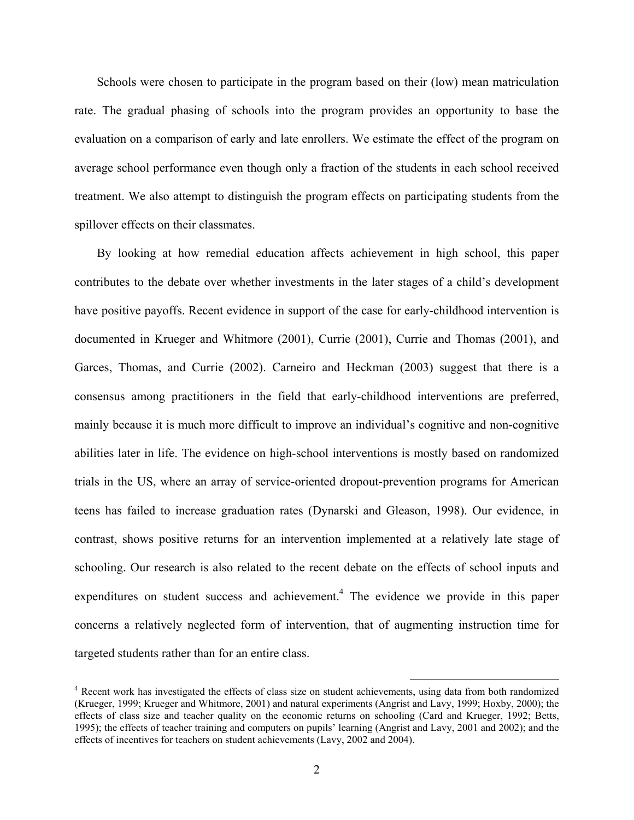Schools were chosen to participate in the program based on their (low) mean matriculation rate. The gradual phasing of schools into the program provides an opportunity to base the evaluation on a comparison of early and late enrollers. We estimate the effect of the program on average school performance even though only a fraction of the students in each school received treatment. We also attempt to distinguish the program effects on participating students from the spillover effects on their classmates.

By looking at how remedial education affects achievement in high school, this paper contributes to the debate over whether investments in the later stages of a child's development have positive payoffs. Recent evidence in support of the case for early-childhood intervention is documented in Krueger and Whitmore (2001), Currie (2001), Currie and Thomas (2001), and Garces, Thomas, and Currie (2002). Carneiro and Heckman (2003) suggest that there is a consensus among practitioners in the field that early-childhood interventions are preferred, mainly because it is much more difficult to improve an individual's cognitive and non-cognitive abilities later in life. The evidence on high-school interventions is mostly based on randomized trials in the US, where an array of service-oriented dropout-prevention programs for American teens has failed to increase graduation rates (Dynarski and Gleason, 1998). Our evidence, in contrast, shows positive returns for an intervention implemented at a relatively late stage of schooling. Our research is also related to the recent debate on the effects of school inputs and expenditures on student success and achievement.<sup>4</sup> The evidence we provide in this paper concerns a relatively neglected form of intervention, that of augmenting instruction time for targeted students rather than for an entire class.

 <sup>4</sup> Recent work has investigated the effects of class size on student achievements, using data from both randomized (Krueger, 1999; Krueger and Whitmore, 2001) and natural experiments (Angrist and Lavy, 1999; Hoxby, 2000); the effects of class size and teacher quality on the economic returns on schooling (Card and Krueger, 1992; Betts, 1995); the effects of teacher training and computers on pupils' learning (Angrist and Lavy, 2001 and 2002); and the effects of incentives for teachers on student achievements (Lavy, 2002 and 2004).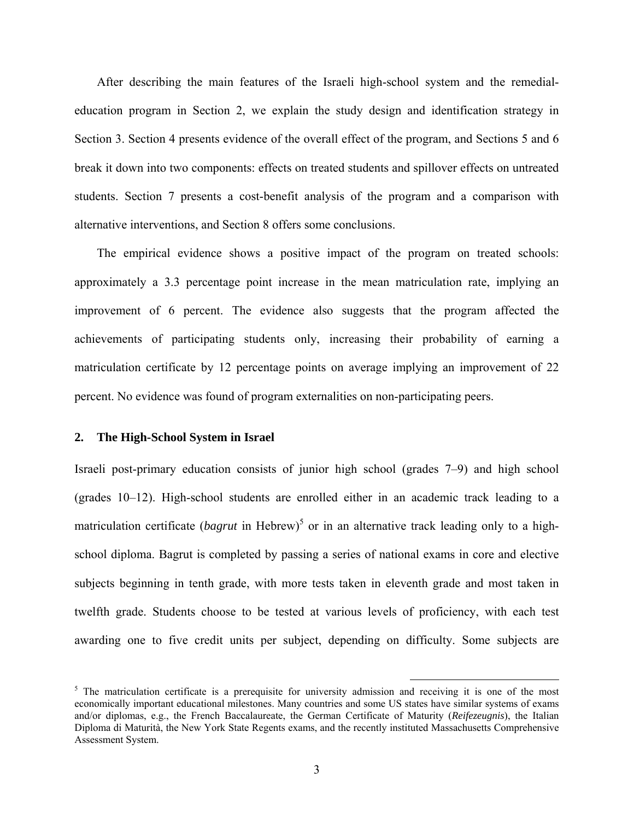After describing the main features of the Israeli high-school system and the remedialeducation program in Section 2, we explain the study design and identification strategy in Section 3. Section 4 presents evidence of the overall effect of the program, and Sections 5 and 6 break it down into two components: effects on treated students and spillover effects on untreated students. Section 7 presents a cost-benefit analysis of the program and a comparison with alternative interventions, and Section 8 offers some conclusions.

The empirical evidence shows a positive impact of the program on treated schools: approximately a 3.3 percentage point increase in the mean matriculation rate, implying an improvement of 6 percent. The evidence also suggests that the program affected the achievements of participating students only, increasing their probability of earning a matriculation certificate by 12 percentage points on average implying an improvement of 22 percent. No evidence was found of program externalities on non-participating peers.

#### **2. The High-School System in Israel**

Israeli post-primary education consists of junior high school (grades 7–9) and high school (grades 10–12). High-school students are enrolled either in an academic track leading to a matriculation certificate (*bagrut* in Hebrew)<sup>5</sup> or in an alternative track leading only to a highschool diploma. Bagrut is completed by passing a series of national exams in core and elective subjects beginning in tenth grade, with more tests taken in eleventh grade and most taken in twelfth grade. Students choose to be tested at various levels of proficiency, with each test awarding one to five credit units per subject, depending on difficulty. Some subjects are

<sup>&</sup>lt;sup>5</sup> The matriculation certificate is a prerequisite for university admission and receiving it is one of the most economically important educational milestones. Many countries and some US states have similar systems of exams and/or diplomas, e.g., the French Baccalaureate, the German Certificate of Maturity (*Reifezeugnis*), the Italian Diploma di Maturità, the New York State Regents exams, and the recently instituted Massachusetts Comprehensive Assessment System.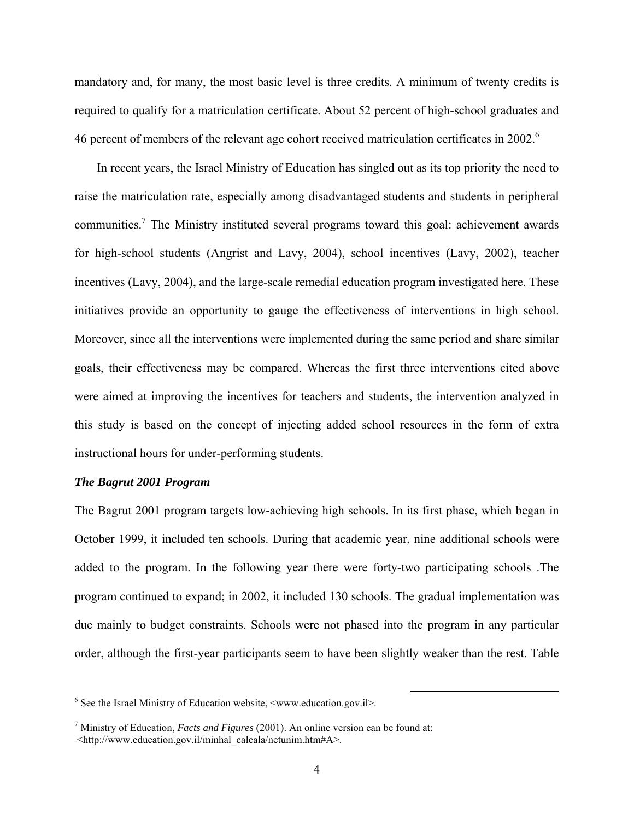mandatory and, for many, the most basic level is three credits. A minimum of twenty credits is required to qualify for a matriculation certificate. About 52 percent of high-school graduates and 46 percent of members of the relevant age cohort received matriculation certificates in 2002.<sup>6</sup>

In recent years, the Israel Ministry of Education has singled out as its top priority the need to raise the matriculation rate, especially among disadvantaged students and students in peripheral communities.<sup>7</sup> The Ministry instituted several programs toward this goal: achievement awards for high-school students (Angrist and Lavy, 2004), school incentives (Lavy, 2002), teacher incentives (Lavy, 2004), and the large-scale remedial education program investigated here. These initiatives provide an opportunity to gauge the effectiveness of interventions in high school. Moreover, since all the interventions were implemented during the same period and share similar goals, their effectiveness may be compared. Whereas the first three interventions cited above were aimed at improving the incentives for teachers and students, the intervention analyzed in this study is based on the concept of injecting added school resources in the form of extra instructional hours for under-performing students.

### *The Bagrut 2001 Program*

The Bagrut 2001 program targets low-achieving high schools. In its first phase, which began in October 1999, it included ten schools. During that academic year, nine additional schools were added to the program. In the following year there were forty-two participating schools .The program continued to expand; in 2002, it included 130 schools. The gradual implementation was due mainly to budget constraints. Schools were not phased into the program in any particular order, although the first-year participants seem to have been slightly weaker than the rest. Table

 <sup>6</sup> See the Israel Ministry of Education website, <www.education.gov.il>.

<sup>7</sup> Ministry of Education, *Facts and Figures* (2001). An online version can be found at: <http://www.education.gov.il/minhal\_calcala/netunim.htm#A>.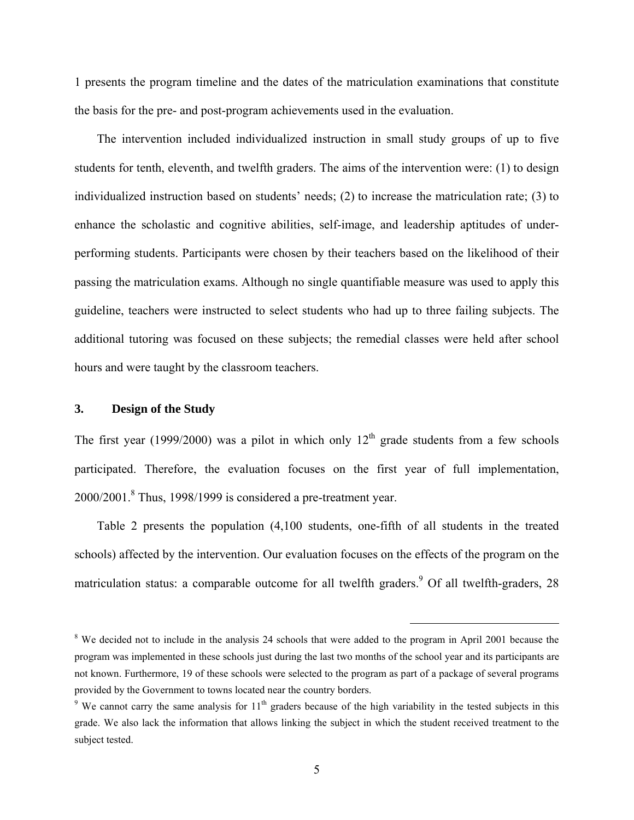1 presents the program timeline and the dates of the matriculation examinations that constitute the basis for the pre- and post-program achievements used in the evaluation.

The intervention included individualized instruction in small study groups of up to five students for tenth, eleventh, and twelfth graders. The aims of the intervention were: (1) to design individualized instruction based on students' needs; (2) to increase the matriculation rate; (3) to enhance the scholastic and cognitive abilities, self-image, and leadership aptitudes of underperforming students. Participants were chosen by their teachers based on the likelihood of their passing the matriculation exams. Although no single quantifiable measure was used to apply this guideline, teachers were instructed to select students who had up to three failing subjects. The additional tutoring was focused on these subjects; the remedial classes were held after school hours and were taught by the classroom teachers.

#### **3. Design of the Study**

The first year (1999/2000) was a pilot in which only  $12<sup>th</sup>$  grade students from a few schools participated. Therefore, the evaluation focuses on the first year of full implementation,  $2000/2001$ .<sup>8</sup> Thus, 1998/1999 is considered a pre-treatment year.

Table 2 presents the population (4,100 students, one-fifth of all students in the treated schools) affected by the intervention. Our evaluation focuses on the effects of the program on the matriculation status: a comparable outcome for all twelfth graders.<sup>9</sup> Of all twelfth-graders, 28

<sup>&</sup>lt;sup>8</sup> We decided not to include in the analysis 24 schools that were added to the program in April 2001 because the program was implemented in these schools just during the last two months of the school year and its participants are not known. Furthermore, 19 of these schools were selected to the program as part of a package of several programs provided by the Government to towns located near the country borders.

<sup>&</sup>lt;sup>9</sup> We cannot carry the same analysis for  $11<sup>th</sup>$  graders because of the high variability in the tested subjects in this grade. We also lack the information that allows linking the subject in which the student received treatment to the subject tested.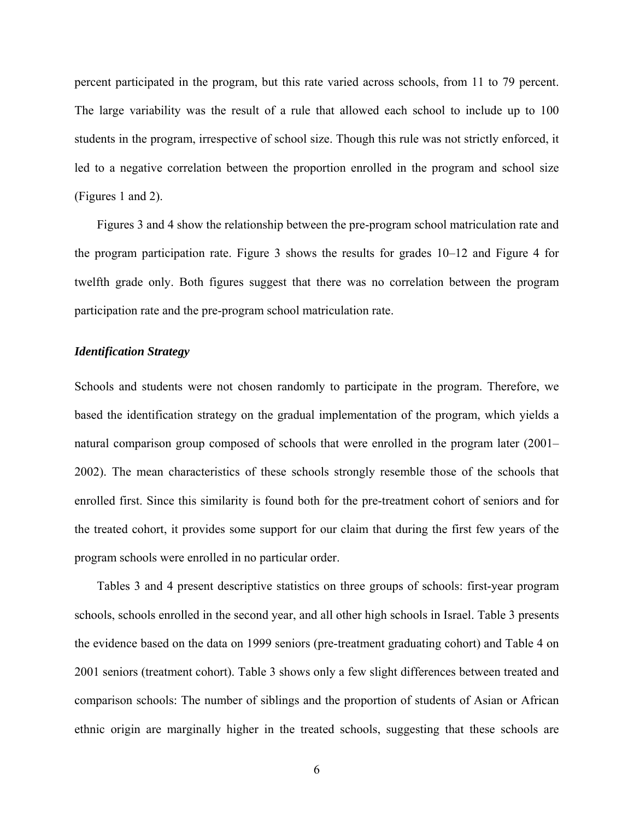percent participated in the program, but this rate varied across schools, from 11 to 79 percent. The large variability was the result of a rule that allowed each school to include up to 100 students in the program, irrespective of school size. Though this rule was not strictly enforced, it led to a negative correlation between the proportion enrolled in the program and school size (Figures 1 and 2).

Figures 3 and 4 show the relationship between the pre-program school matriculation rate and the program participation rate. Figure 3 shows the results for grades 10–12 and Figure 4 for twelfth grade only. Both figures suggest that there was no correlation between the program participation rate and the pre-program school matriculation rate.

### *Identification Strategy*

Schools and students were not chosen randomly to participate in the program. Therefore, we based the identification strategy on the gradual implementation of the program, which yields a natural comparison group composed of schools that were enrolled in the program later (2001– 2002). The mean characteristics of these schools strongly resemble those of the schools that enrolled first. Since this similarity is found both for the pre-treatment cohort of seniors and for the treated cohort, it provides some support for our claim that during the first few years of the program schools were enrolled in no particular order.

Tables 3 and 4 present descriptive statistics on three groups of schools: first-year program schools, schools enrolled in the second year, and all other high schools in Israel. Table 3 presents the evidence based on the data on 1999 seniors (pre-treatment graduating cohort) and Table 4 on 2001 seniors (treatment cohort). Table 3 shows only a few slight differences between treated and comparison schools: The number of siblings and the proportion of students of Asian or African ethnic origin are marginally higher in the treated schools, suggesting that these schools are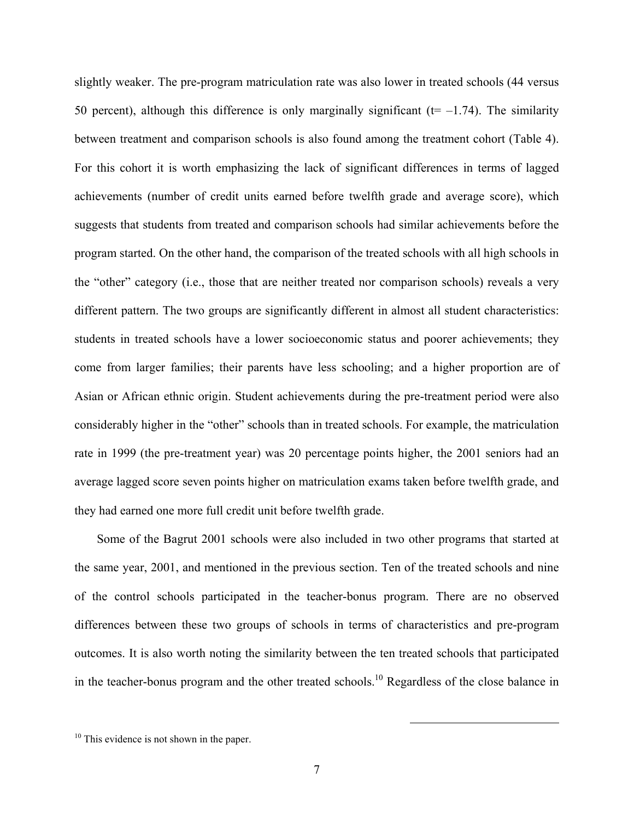slightly weaker. The pre-program matriculation rate was also lower in treated schools (44 versus 50 percent), although this difference is only marginally significant ( $t=-1.74$ ). The similarity between treatment and comparison schools is also found among the treatment cohort (Table 4). For this cohort it is worth emphasizing the lack of significant differences in terms of lagged achievements (number of credit units earned before twelfth grade and average score), which suggests that students from treated and comparison schools had similar achievements before the program started. On the other hand, the comparison of the treated schools with all high schools in the "other" category (i.e., those that are neither treated nor comparison schools) reveals a very different pattern. The two groups are significantly different in almost all student characteristics: students in treated schools have a lower socioeconomic status and poorer achievements; they come from larger families; their parents have less schooling; and a higher proportion are of Asian or African ethnic origin. Student achievements during the pre-treatment period were also considerably higher in the "other" schools than in treated schools. For example, the matriculation rate in 1999 (the pre-treatment year) was 20 percentage points higher, the 2001 seniors had an average lagged score seven points higher on matriculation exams taken before twelfth grade, and they had earned one more full credit unit before twelfth grade.

Some of the Bagrut 2001 schools were also included in two other programs that started at the same year, 2001, and mentioned in the previous section. Ten of the treated schools and nine of the control schools participated in the teacher-bonus program. There are no observed differences between these two groups of schools in terms of characteristics and pre-program outcomes. It is also worth noting the similarity between the ten treated schools that participated in the teacher-bonus program and the other treated schools.10 Regardless of the close balance in

 $10$  This evidence is not shown in the paper.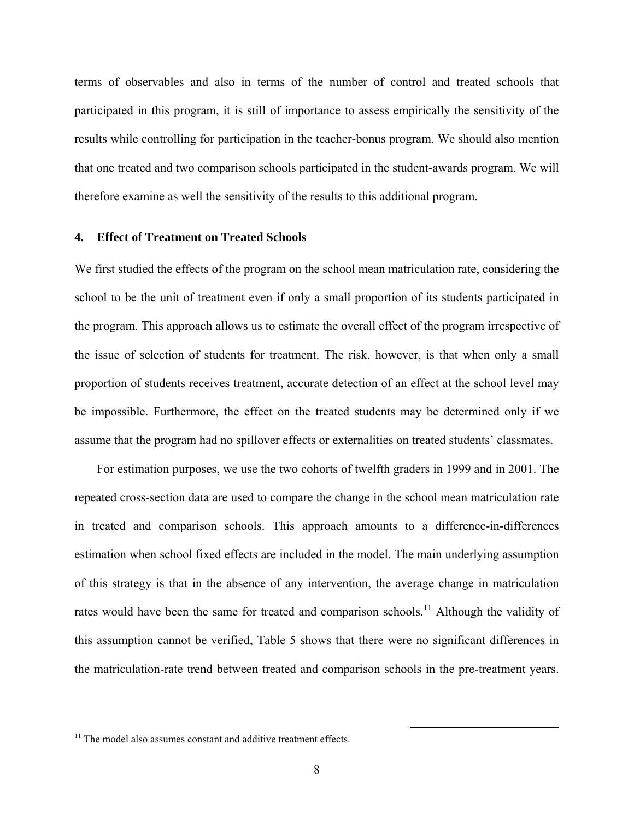terms of observables and also in terms of the number of control and treated schools that participated in this program, it is still of importance to assess empirically the sensitivity of the results while controlling for participation in the teacher-bonus program. We should also mention that one treated and two comparison schools participated in the student-awards program. We will therefore examine as well the sensitivity of the results to this additional program.

### **4. Effect of Treatment on Treated Schools**

We first studied the effects of the program on the school mean matriculation rate, considering the school to be the unit of treatment even if only a small proportion of its students participated in the program. This approach allows us to estimate the overall effect of the program irrespective of the issue of selection of students for treatment. The risk, however, is that when only a small proportion of students receives treatment, accurate detection of an effect at the school level may be impossible. Furthermore, the effect on the treated students may be determined only if we assume that the program had no spillover effects or externalities on treated students' classmates.

For estimation purposes, we use the two cohorts of twelfth graders in 1999 and in 2001. The repeated cross-section data are used to compare the change in the school mean matriculation rate in treated and comparison schools. This approach amounts to a difference-in-differences estimation when school fixed effects are included in the model. The main underlying assumption of this strategy is that in the absence of any intervention, the average change in matriculation rates would have been the same for treated and comparison schools.<sup>11</sup> Although the validity of this assumption cannot be verified, Table 5 shows that there were no significant differences in the matriculation-rate trend between treated and comparison schools in the pre-treatment years.

 $11$  The model also assumes constant and additive treatment effects.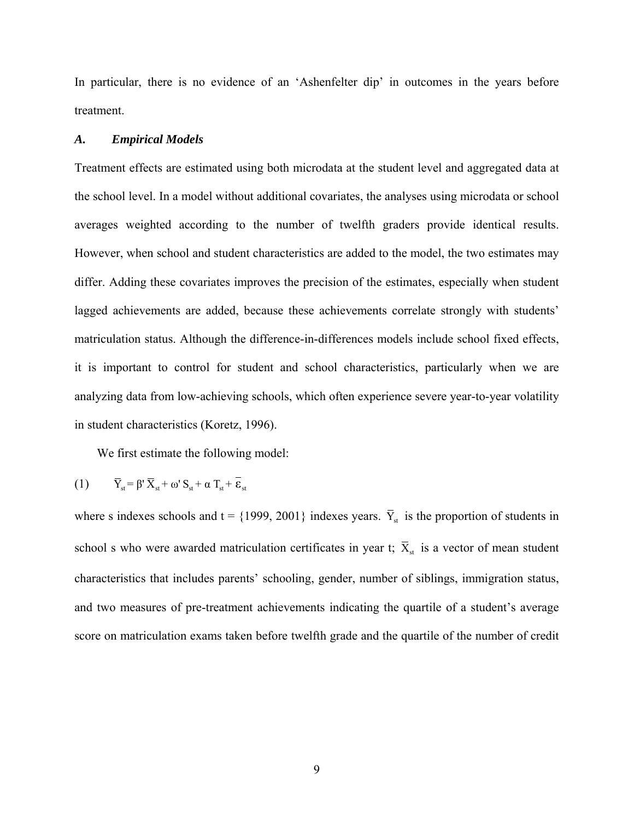In particular, there is no evidence of an 'Ashenfelter dip' in outcomes in the years before treatment.

#### *A. Empirical Models*

Treatment effects are estimated using both microdata at the student level and aggregated data at the school level. In a model without additional covariates, the analyses using microdata or school averages weighted according to the number of twelfth graders provide identical results. However, when school and student characteristics are added to the model, the two estimates may differ. Adding these covariates improves the precision of the estimates, especially when student lagged achievements are added, because these achievements correlate strongly with students' matriculation status. Although the difference-in-differences models include school fixed effects, it is important to control for student and school characteristics, particularly when we are analyzing data from low-achieving schools, which often experience severe year-to-year volatility in student characteristics (Koretz, 1996).

We first estimate the following model:

(1) 
$$
\overline{Y}_{st} = \beta' \overline{X}_{st} + \omega' S_{st} + \alpha T_{st} + \overline{\varepsilon}_{st}
$$

where s indexes schools and t = {1999, 2001} indexes years.  $\bar{Y}_{st}$  is the proportion of students in school s who were awarded matriculation certificates in year t;  $\bar{X}_{st}$  is a vector of mean student characteristics that includes parents' schooling, gender, number of siblings, immigration status, and two measures of pre-treatment achievements indicating the quartile of a student's average score on matriculation exams taken before twelfth grade and the quartile of the number of credit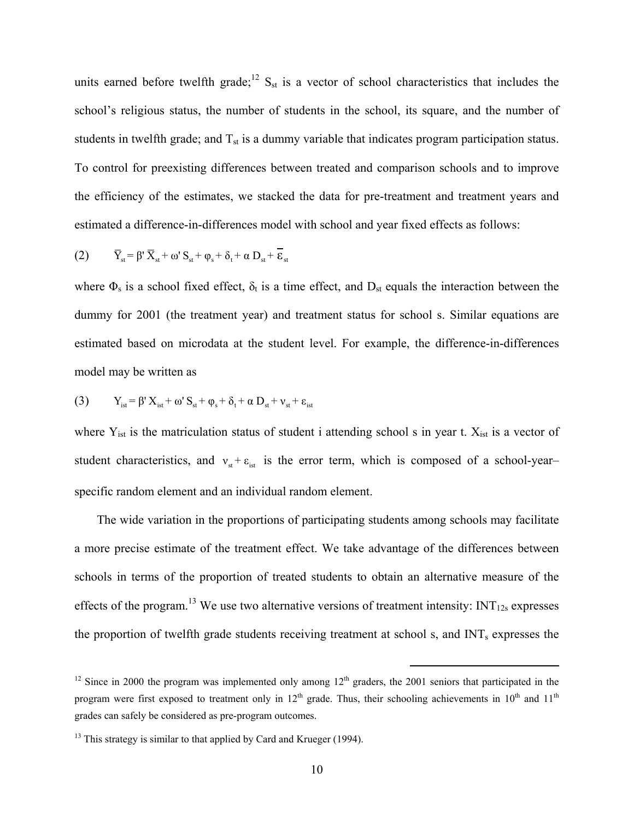units earned before twelfth grade;<sup>12</sup>  $S_{st}$  is a vector of school characteristics that includes the school's religious status, the number of students in the school, its square, and the number of students in twelfth grade; and  $T_{st}$  is a dummy variable that indicates program participation status. To control for preexisting differences between treated and comparison schools and to improve the efficiency of the estimates, we stacked the data for pre-treatment and treatment years and estimated a difference-in-differences model with school and year fixed effects as follows:

$$
(2) \qquad \overline{Y}_{st} = \beta' \, \overline{X}_{st} + \omega' \, S_{st} + \varphi_s + \delta_t + \alpha \, D_{st} + \overline{\varepsilon}_{st}
$$

where  $\Phi_s$  is a school fixed effect,  $\delta_t$  is a time effect, and  $D_{st}$  equals the interaction between the dummy for 2001 (the treatment year) and treatment status for school s. Similar equations are estimated based on microdata at the student level. For example, the difference-in-differences model may be written as

(3) 
$$
Y_{ist} = \beta' X_{ist} + \omega' S_{st} + \varphi_s + \delta_t + \alpha D_{st} + \nu_{st} + \epsilon_{ist}
$$

where  $Y_{ist}$  is the matriculation status of student i attending school s in year t.  $X_{ist}$  is a vector of student characteristics, and  $v_{st} + \varepsilon_{ist}$  is the error term, which is composed of a school-year– specific random element and an individual random element.

The wide variation in the proportions of participating students among schools may facilitate a more precise estimate of the treatment effect. We take advantage of the differences between schools in terms of the proportion of treated students to obtain an alternative measure of the effects of the program.<sup>13</sup> We use two alternative versions of treatment intensity:  $INT<sub>12s</sub>$  expresses the proportion of twelfth grade students receiving treatment at school s, and INT<sub>s</sub> expresses the

<sup>&</sup>lt;sup>12</sup> Since in 2000 the program was implemented only among  $12<sup>th</sup>$  graders, the 2001 seniors that participated in the program were first exposed to treatment only in  $12<sup>th</sup>$  grade. Thus, their schooling achievements in  $10<sup>th</sup>$  and  $11<sup>th</sup>$ grades can safely be considered as pre-program outcomes.

<sup>&</sup>lt;sup>13</sup> This strategy is similar to that applied by Card and Krueger (1994).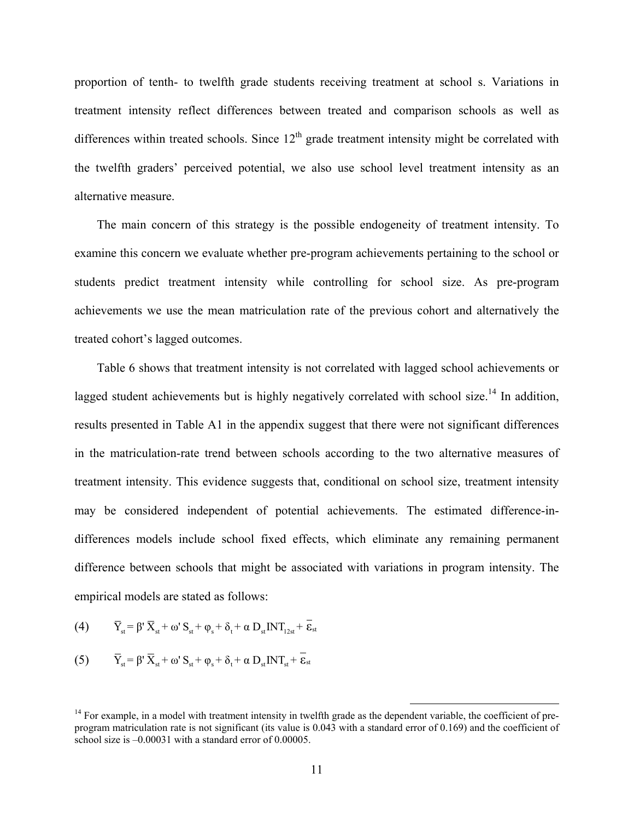proportion of tenth- to twelfth grade students receiving treatment at school s. Variations in treatment intensity reflect differences between treated and comparison schools as well as differences within treated schools. Since  $12<sup>th</sup>$  grade treatment intensity might be correlated with the twelfth graders' perceived potential, we also use school level treatment intensity as an alternative measure.

The main concern of this strategy is the possible endogeneity of treatment intensity. To examine this concern we evaluate whether pre-program achievements pertaining to the school or students predict treatment intensity while controlling for school size. As pre-program achievements we use the mean matriculation rate of the previous cohort and alternatively the treated cohort's lagged outcomes.

Table 6 shows that treatment intensity is not correlated with lagged school achievements or lagged student achievements but is highly negatively correlated with school size.<sup>14</sup> In addition, results presented in Table A1 in the appendix suggest that there were not significant differences in the matriculation-rate trend between schools according to the two alternative measures of treatment intensity. This evidence suggests that, conditional on school size, treatment intensity may be considered independent of potential achievements. The estimated difference-indifferences models include school fixed effects, which eliminate any remaining permanent difference between schools that might be associated with variations in program intensity. The empirical models are stated as follows:

(4) 
$$
\overline{Y}_{st} = \beta' \overline{X}_{st} + \omega' S_{st} + \varphi_s + \delta_t + \alpha D_{st} INT_{12st} + \overline{\varepsilon}_{st}
$$

(5) 
$$
\overline{Y}_{st} = \beta' \overline{X}_{st} + \omega' S_{st} + \varphi_s + \delta_t + \alpha D_{st} INT_{st} + \overline{\varepsilon}_{st}
$$

 $14$  For example, in a model with treatment intensity in twelfth grade as the dependent variable, the coefficient of preprogram matriculation rate is not significant (its value is 0.043 with a standard error of 0.169) and the coefficient of school size is –0.00031 with a standard error of 0.00005.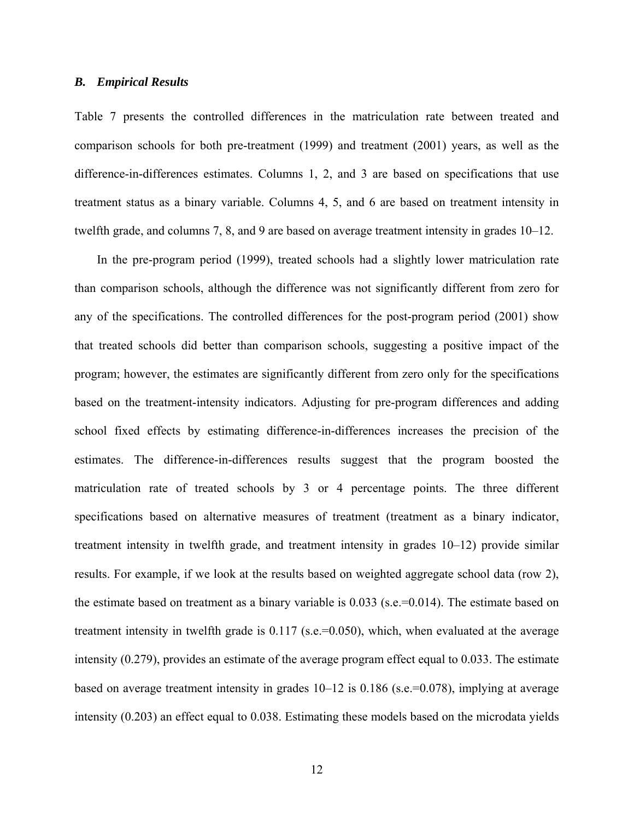### *B. Empirical Results*

Table 7 presents the controlled differences in the matriculation rate between treated and comparison schools for both pre-treatment (1999) and treatment (2001) years, as well as the difference-in-differences estimates. Columns 1, 2, and 3 are based on specifications that use treatment status as a binary variable. Columns 4, 5, and 6 are based on treatment intensity in twelfth grade, and columns 7, 8, and 9 are based on average treatment intensity in grades 10–12.

In the pre-program period (1999), treated schools had a slightly lower matriculation rate than comparison schools, although the difference was not significantly different from zero for any of the specifications. The controlled differences for the post-program period (2001) show that treated schools did better than comparison schools, suggesting a positive impact of the program; however, the estimates are significantly different from zero only for the specifications based on the treatment-intensity indicators. Adjusting for pre-program differences and adding school fixed effects by estimating difference-in-differences increases the precision of the estimates. The difference-in-differences results suggest that the program boosted the matriculation rate of treated schools by 3 or 4 percentage points. The three different specifications based on alternative measures of treatment (treatment as a binary indicator, treatment intensity in twelfth grade, and treatment intensity in grades 10–12) provide similar results. For example, if we look at the results based on weighted aggregate school data (row 2), the estimate based on treatment as a binary variable is 0.033 (s.e.=0.014). The estimate based on treatment intensity in twelfth grade is 0.117 (s.e.=0.050), which, when evaluated at the average intensity (0.279), provides an estimate of the average program effect equal to 0.033. The estimate based on average treatment intensity in grades 10–12 is 0.186 (s.e.=0.078), implying at average intensity (0.203) an effect equal to 0.038. Estimating these models based on the microdata yields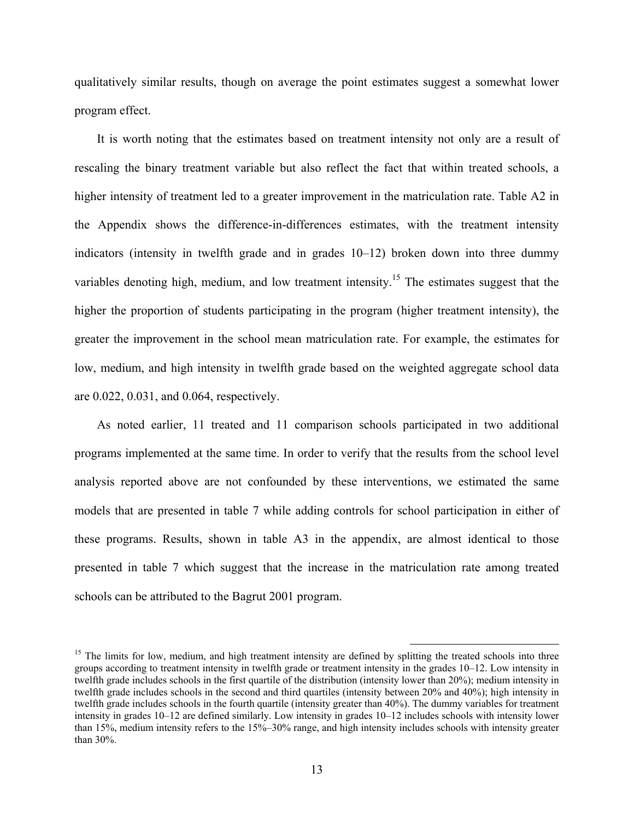qualitatively similar results, though on average the point estimates suggest a somewhat lower program effect.

It is worth noting that the estimates based on treatment intensity not only are a result of rescaling the binary treatment variable but also reflect the fact that within treated schools, a higher intensity of treatment led to a greater improvement in the matriculation rate. Table A2 in the Appendix shows the difference-in-differences estimates, with the treatment intensity indicators (intensity in twelfth grade and in grades 10–12) broken down into three dummy variables denoting high, medium, and low treatment intensity.<sup>15</sup> The estimates suggest that the higher the proportion of students participating in the program (higher treatment intensity), the greater the improvement in the school mean matriculation rate. For example, the estimates for low, medium, and high intensity in twelfth grade based on the weighted aggregate school data are 0.022, 0.031, and 0.064, respectively.

As noted earlier, 11 treated and 11 comparison schools participated in two additional programs implemented at the same time. In order to verify that the results from the school level analysis reported above are not confounded by these interventions, we estimated the same models that are presented in table 7 while adding controls for school participation in either of these programs. Results, shown in table A3 in the appendix, are almost identical to those presented in table 7 which suggest that the increase in the matriculation rate among treated schools can be attributed to the Bagrut 2001 program.

 $15$  The limits for low, medium, and high treatment intensity are defined by splitting the treated schools into three groups according to treatment intensity in twelfth grade or treatment intensity in the grades 10–12. Low intensity in twelfth grade includes schools in the first quartile of the distribution (intensity lower than 20%); medium intensity in twelfth grade includes schools in the second and third quartiles (intensity between 20% and 40%); high intensity in twelfth grade includes schools in the fourth quartile (intensity greater than 40%). The dummy variables for treatment intensity in grades 10–12 are defined similarly. Low intensity in grades 10–12 includes schools with intensity lower than 15%, medium intensity refers to the 15%–30% range, and high intensity includes schools with intensity greater than 30%.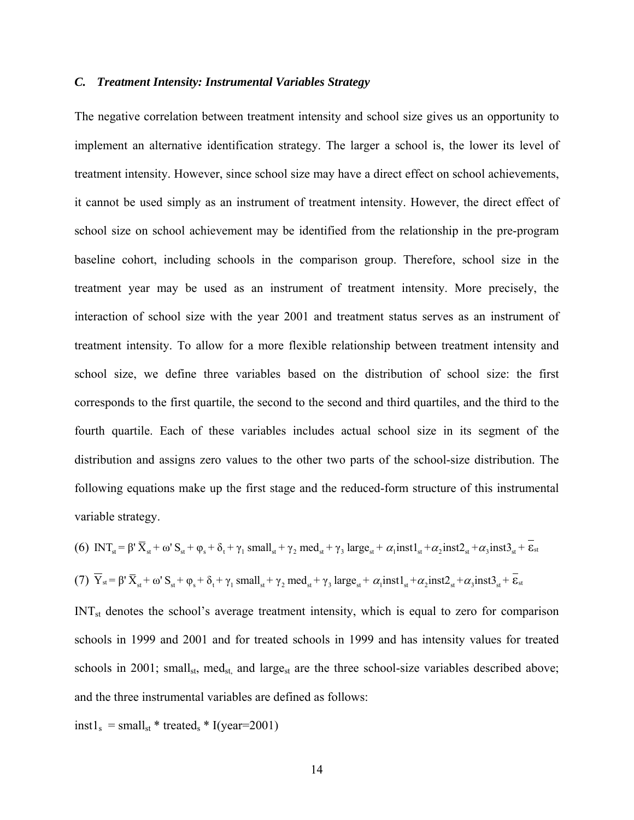### *C. Treatment Intensity: Instrumental Variables Strategy*

The negative correlation between treatment intensity and school size gives us an opportunity to implement an alternative identification strategy. The larger a school is, the lower its level of treatment intensity. However, since school size may have a direct effect on school achievements, it cannot be used simply as an instrument of treatment intensity. However, the direct effect of school size on school achievement may be identified from the relationship in the pre-program baseline cohort, including schools in the comparison group. Therefore, school size in the treatment year may be used as an instrument of treatment intensity. More precisely, the interaction of school size with the year 2001 and treatment status serves as an instrument of treatment intensity. To allow for a more flexible relationship between treatment intensity and school size, we define three variables based on the distribution of school size: the first corresponds to the first quartile, the second to the second and third quartiles, and the third to the fourth quartile. Each of these variables includes actual school size in its segment of the distribution and assigns zero values to the other two parts of the school-size distribution. The following equations make up the first stage and the reduced-form structure of this instrumental variable strategy.

(6)  $INT_s = \beta' \overline{X}_{st} + \omega' S_{st} + \varphi_s + \delta_t + \gamma_1 \text{ small}_{st} + \gamma_2 \text{ med}_{st} + \gamma_3 \text{ large}_{st} + \alpha_1 \text{inst1}_{st} + \alpha_2 \text{inst2}_{st} + \alpha_3 \text{inst3}_{st} + \overline{\epsilon}_{st}$ (7)  $\overline{Y}_{st} = \beta' \overline{X}_{st} + \omega' S_{st} + \varphi_s + \delta_t + \gamma_1 \text{ small}_{st} + \gamma_2 \text{ med}_{st} + \gamma_3 \text{ large}_{st} + \alpha_1 \text{inst1}_{st} + \alpha_2 \text{inst2}_{st} + \alpha_3 \text{inst3}_{st} + \overline{\epsilon}_{st}$ 

INT<sub>st</sub> denotes the school's average treatment intensity, which is equal to zero for comparison schools in 1999 and 2001 and for treated schools in 1999 and has intensity values for treated schools in 2001; small<sub>st</sub>, med<sub>st,</sub> and large<sub>st</sub> are the three school-size variables described above; and the three instrumental variables are defined as follows:

$$
inst1s = smallst * treateds * I(year=2001)
$$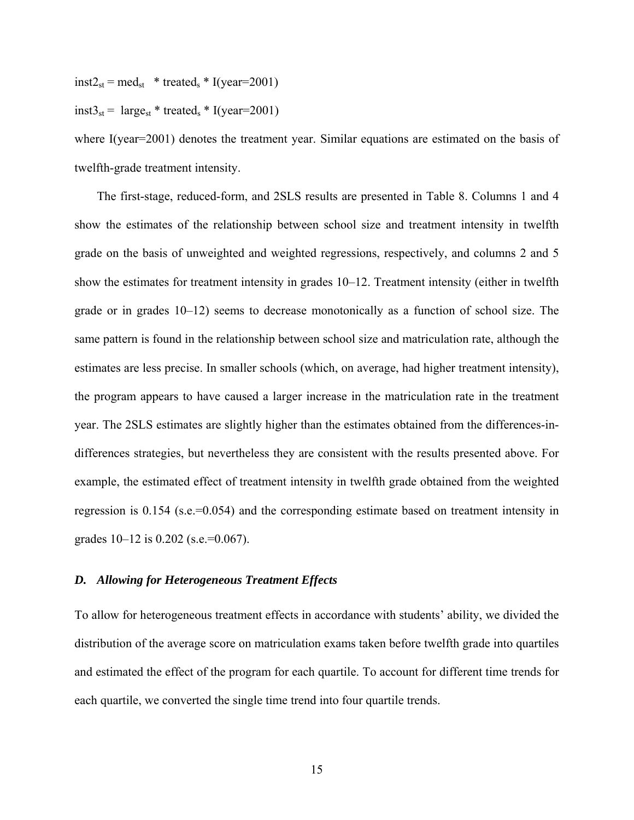$inst2_{st} = med_{st} * treated_s * I(year=2001)$ 

## $inst3_{st}$  = large<sub>st</sub> \* treated<sub>s</sub> \* I(year=2001)

where I(year=2001) denotes the treatment year. Similar equations are estimated on the basis of twelfth-grade treatment intensity.

The first-stage, reduced-form, and 2SLS results are presented in Table 8. Columns 1 and 4 show the estimates of the relationship between school size and treatment intensity in twelfth grade on the basis of unweighted and weighted regressions, respectively, and columns 2 and 5 show the estimates for treatment intensity in grades 10–12. Treatment intensity (either in twelfth grade or in grades 10–12) seems to decrease monotonically as a function of school size. The same pattern is found in the relationship between school size and matriculation rate, although the estimates are less precise. In smaller schools (which, on average, had higher treatment intensity), the program appears to have caused a larger increase in the matriculation rate in the treatment year. The 2SLS estimates are slightly higher than the estimates obtained from the differences-indifferences strategies, but nevertheless they are consistent with the results presented above. For example, the estimated effect of treatment intensity in twelfth grade obtained from the weighted regression is 0.154 (s.e.=0.054) and the corresponding estimate based on treatment intensity in grades  $10-12$  is  $0.202$  (s.e.=0.067).

### *D. Allowing for Heterogeneous Treatment Effects*

To allow for heterogeneous treatment effects in accordance with students' ability, we divided the distribution of the average score on matriculation exams taken before twelfth grade into quartiles and estimated the effect of the program for each quartile. To account for different time trends for each quartile, we converted the single time trend into four quartile trends.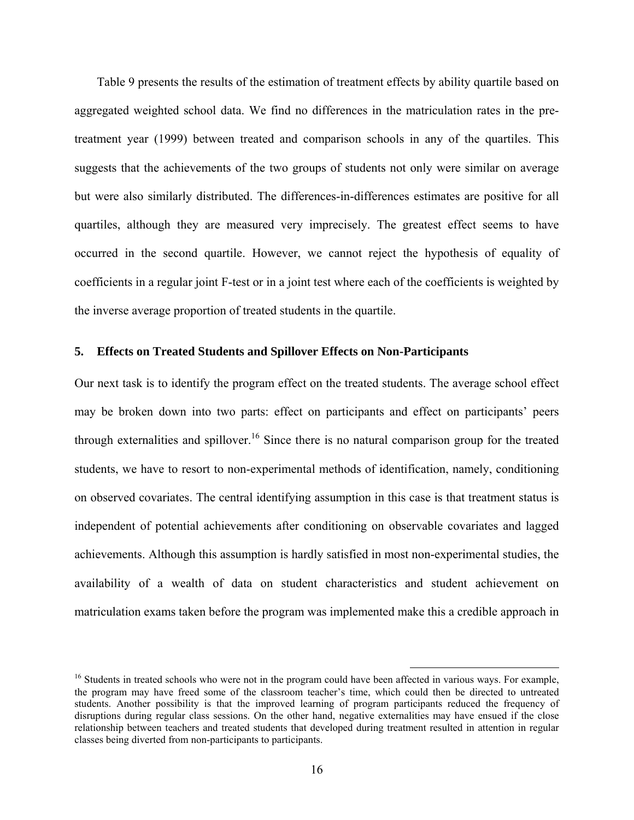Table 9 presents the results of the estimation of treatment effects by ability quartile based on aggregated weighted school data. We find no differences in the matriculation rates in the pretreatment year (1999) between treated and comparison schools in any of the quartiles. This suggests that the achievements of the two groups of students not only were similar on average but were also similarly distributed. The differences-in-differences estimates are positive for all quartiles, although they are measured very imprecisely. The greatest effect seems to have occurred in the second quartile. However, we cannot reject the hypothesis of equality of coefficients in a regular joint F-test or in a joint test where each of the coefficients is weighted by the inverse average proportion of treated students in the quartile.

### **5. Effects on Treated Students and Spillover Effects on Non-Participants**

Our next task is to identify the program effect on the treated students. The average school effect may be broken down into two parts: effect on participants and effect on participants' peers through externalities and spillover.<sup>16</sup> Since there is no natural comparison group for the treated students, we have to resort to non-experimental methods of identification, namely, conditioning on observed covariates. The central identifying assumption in this case is that treatment status is independent of potential achievements after conditioning on observable covariates and lagged achievements. Although this assumption is hardly satisfied in most non-experimental studies, the availability of a wealth of data on student characteristics and student achievement on matriculation exams taken before the program was implemented make this a credible approach in

<sup>&</sup>lt;sup>16</sup> Students in treated schools who were not in the program could have been affected in various ways. For example, the program may have freed some of the classroom teacher's time, which could then be directed to untreated students. Another possibility is that the improved learning of program participants reduced the frequency of disruptions during regular class sessions. On the other hand, negative externalities may have ensued if the close relationship between teachers and treated students that developed during treatment resulted in attention in regular classes being diverted from non-participants to participants.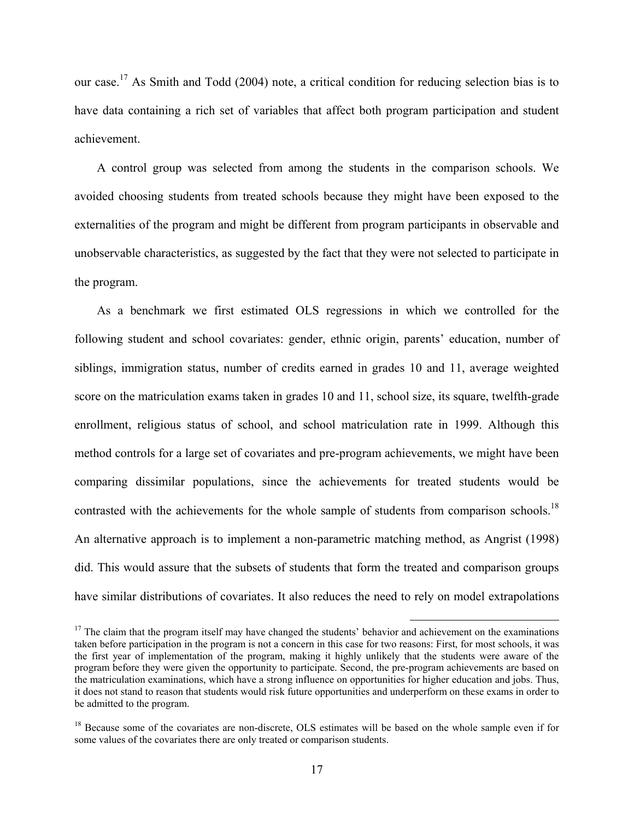our case.17 As Smith and Todd (2004) note, a critical condition for reducing selection bias is to have data containing a rich set of variables that affect both program participation and student achievement.

A control group was selected from among the students in the comparison schools. We avoided choosing students from treated schools because they might have been exposed to the externalities of the program and might be different from program participants in observable and unobservable characteristics, as suggested by the fact that they were not selected to participate in the program.

As a benchmark we first estimated OLS regressions in which we controlled for the following student and school covariates: gender, ethnic origin, parents' education, number of siblings, immigration status, number of credits earned in grades 10 and 11, average weighted score on the matriculation exams taken in grades 10 and 11, school size, its square, twelfth-grade enrollment, religious status of school, and school matriculation rate in 1999. Although this method controls for a large set of covariates and pre-program achievements, we might have been comparing dissimilar populations, since the achievements for treated students would be contrasted with the achievements for the whole sample of students from comparison schools.<sup>18</sup> An alternative approach is to implement a non-parametric matching method, as Angrist (1998) did. This would assure that the subsets of students that form the treated and comparison groups have similar distributions of covariates. It also reduces the need to rely on model extrapolations

 $17$  The claim that the program itself may have changed the students' behavior and achievement on the examinations taken before participation in the program is not a concern in this case for two reasons: First, for most schools, it was the first year of implementation of the program, making it highly unlikely that the students were aware of the program before they were given the opportunity to participate. Second, the pre-program achievements are based on the matriculation examinations, which have a strong influence on opportunities for higher education and jobs. Thus, it does not stand to reason that students would risk future opportunities and underperform on these exams in order to be admitted to the program.

<sup>&</sup>lt;sup>18</sup> Because some of the covariates are non-discrete, OLS estimates will be based on the whole sample even if for some values of the covariates there are only treated or comparison students.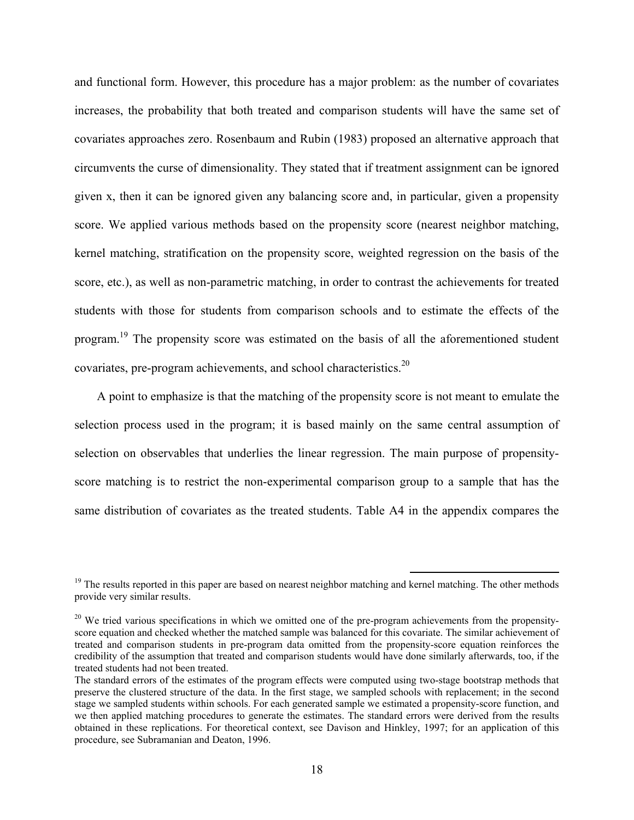and functional form. However, this procedure has a major problem: as the number of covariates increases, the probability that both treated and comparison students will have the same set of covariates approaches zero. Rosenbaum and Rubin (1983) proposed an alternative approach that circumvents the curse of dimensionality. They stated that if treatment assignment can be ignored given x, then it can be ignored given any balancing score and, in particular, given a propensity score. We applied various methods based on the propensity score (nearest neighbor matching, kernel matching, stratification on the propensity score, weighted regression on the basis of the score, etc.), as well as non-parametric matching, in order to contrast the achievements for treated students with those for students from comparison schools and to estimate the effects of the program.19 The propensity score was estimated on the basis of all the aforementioned student covariates, pre-program achievements, and school characteristics.20

A point to emphasize is that the matching of the propensity score is not meant to emulate the selection process used in the program; it is based mainly on the same central assumption of selection on observables that underlies the linear regression. The main purpose of propensityscore matching is to restrict the non-experimental comparison group to a sample that has the same distribution of covariates as the treated students. Table A4 in the appendix compares the

 $19$  The results reported in this paper are based on nearest neighbor matching and kernel matching. The other methods provide very similar results.

 $20$  We tried various specifications in which we omitted one of the pre-program achievements from the propensityscore equation and checked whether the matched sample was balanced for this covariate. The similar achievement of treated and comparison students in pre-program data omitted from the propensity-score equation reinforces the credibility of the assumption that treated and comparison students would have done similarly afterwards, too, if the treated students had not been treated.

The standard errors of the estimates of the program effects were computed using two-stage bootstrap methods that preserve the clustered structure of the data. In the first stage, we sampled schools with replacement; in the second stage we sampled students within schools. For each generated sample we estimated a propensity-score function, and we then applied matching procedures to generate the estimates. The standard errors were derived from the results obtained in these replications. For theoretical context, see Davison and Hinkley, 1997; for an application of this procedure, see Subramanian and Deaton, 1996.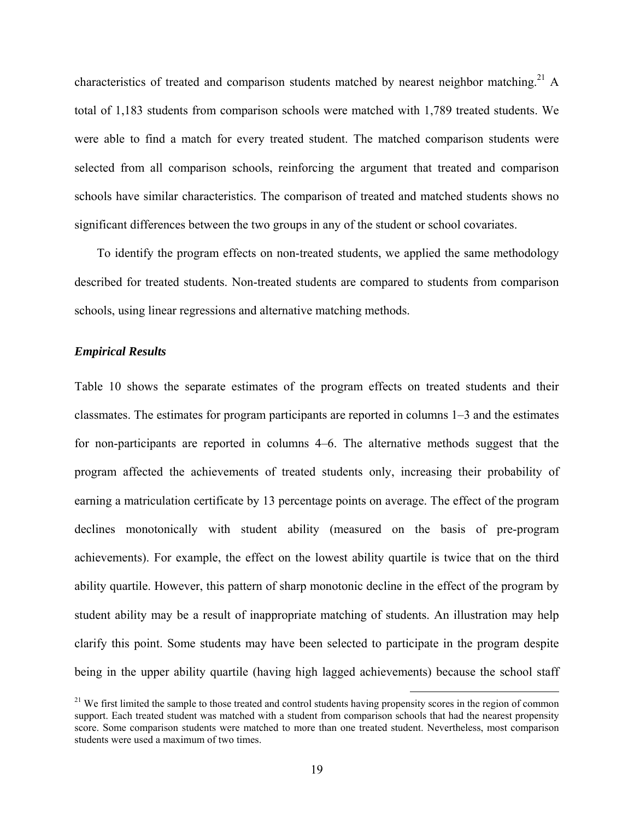characteristics of treated and comparison students matched by nearest neighbor matching.<sup>21</sup> A total of 1,183 students from comparison schools were matched with 1,789 treated students. We were able to find a match for every treated student. The matched comparison students were selected from all comparison schools, reinforcing the argument that treated and comparison schools have similar characteristics. The comparison of treated and matched students shows no significant differences between the two groups in any of the student or school covariates.

To identify the program effects on non-treated students, we applied the same methodology described for treated students. Non-treated students are compared to students from comparison schools, using linear regressions and alternative matching methods.

#### *Empirical Results*

Table 10 shows the separate estimates of the program effects on treated students and their classmates. The estimates for program participants are reported in columns 1–3 and the estimates for non-participants are reported in columns 4–6. The alternative methods suggest that the program affected the achievements of treated students only, increasing their probability of earning a matriculation certificate by 13 percentage points on average. The effect of the program declines monotonically with student ability (measured on the basis of pre-program achievements). For example, the effect on the lowest ability quartile is twice that on the third ability quartile. However, this pattern of sharp monotonic decline in the effect of the program by student ability may be a result of inappropriate matching of students. An illustration may help clarify this point. Some students may have been selected to participate in the program despite being in the upper ability quartile (having high lagged achievements) because the school staff

<sup>&</sup>lt;sup>21</sup> We first limited the sample to those treated and control students having propensity scores in the region of common support. Each treated student was matched with a student from comparison schools that had the nearest propensity score. Some comparison students were matched to more than one treated student. Nevertheless, most comparison students were used a maximum of two times.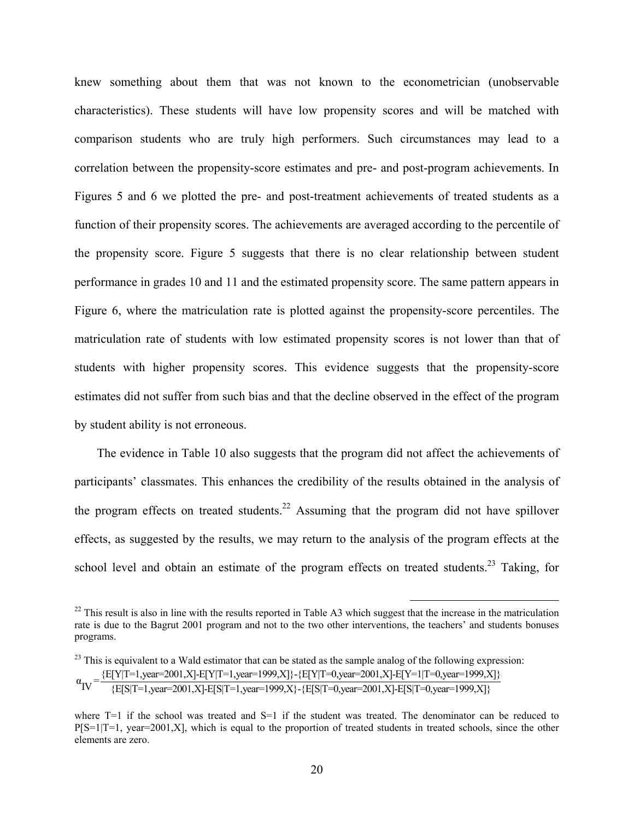knew something about them that was not known to the econometrician (unobservable characteristics). These students will have low propensity scores and will be matched with comparison students who are truly high performers. Such circumstances may lead to a correlation between the propensity-score estimates and pre- and post-program achievements. In Figures 5 and 6 we plotted the pre- and post-treatment achievements of treated students as a function of their propensity scores. The achievements are averaged according to the percentile of the propensity score. Figure 5 suggests that there is no clear relationship between student performance in grades 10 and 11 and the estimated propensity score. The same pattern appears in Figure 6, where the matriculation rate is plotted against the propensity-score percentiles. The matriculation rate of students with low estimated propensity scores is not lower than that of students with higher propensity scores. This evidence suggests that the propensity-score estimates did not suffer from such bias and that the decline observed in the effect of the program by student ability is not erroneous.

The evidence in Table 10 also suggests that the program did not affect the achievements of participants' classmates. This enhances the credibility of the results obtained in the analysis of the program effects on treated students.<sup>22</sup> Assuming that the program did not have spillover effects, as suggested by the results, we may return to the analysis of the program effects at the school level and obtain an estimate of the program effects on treated students.<sup>23</sup> Taking, for

 $^{22}$  This result is also in line with the results reported in Table A3 which suggest that the increase in the matriculation rate is due to the Bagrut 2001 program and not to the two other interventions, the teachers' and students bonuses programs.

<sup>&</sup>lt;sup>23</sup> This is equivalent to a Wald estimator that can be stated as the sample analog of the following expression:  $\alpha_{\text{IV}} = \frac{\{E[Y|T=1, \text{year}=2001, X] - E[Y|T=1, \text{year}=1999, X]\} - \{E[Y|T=0, \text{year}=2001, X] - E[Y=1|T=0, \text{year}=1999, X]\}}{\{E[S|T=1, \text{year}=2001, X] - E[S|T=1, \text{year}=1999, X\} - \{E[S|T=0, \text{year}=2001, X] - E[S|T=0, \text{year}=1999, X]\}}$ 

where  $T=1$  if the school was treated and  $S=1$  if the student was treated. The denominator can be reduced to  $P[S=1|T=1, year=2001,X]$ , which is equal to the proportion of treated students in treated schools, since the other elements are zero.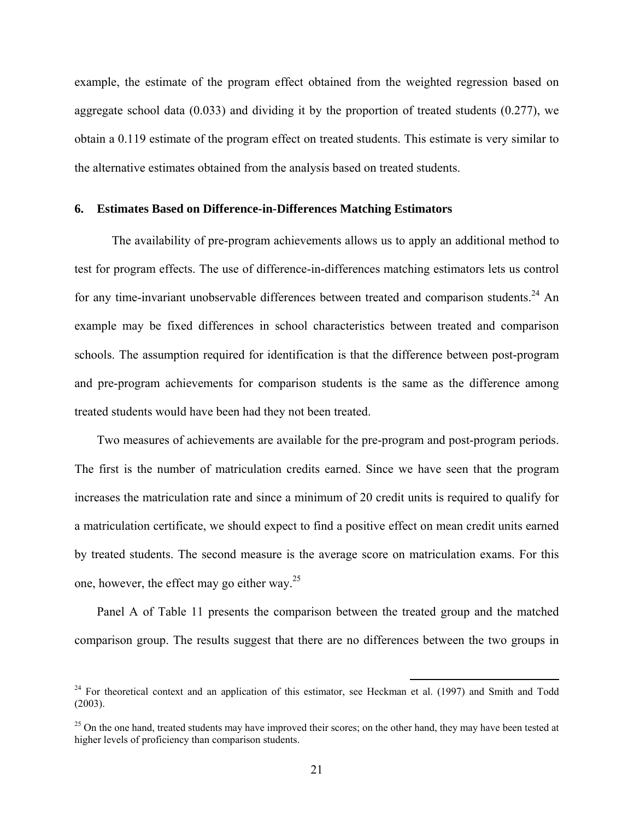example, the estimate of the program effect obtained from the weighted regression based on aggregate school data (0.033) and dividing it by the proportion of treated students (0.277), we obtain a 0.119 estimate of the program effect on treated students. This estimate is very similar to the alternative estimates obtained from the analysis based on treated students.

### **6. Estimates Based on Difference-in-Differences Matching Estimators**

The availability of pre-program achievements allows us to apply an additional method to test for program effects. The use of difference-in-differences matching estimators lets us control for any time-invariant unobservable differences between treated and comparison students.<sup>24</sup> An example may be fixed differences in school characteristics between treated and comparison schools. The assumption required for identification is that the difference between post-program and pre-program achievements for comparison students is the same as the difference among treated students would have been had they not been treated.

Two measures of achievements are available for the pre-program and post-program periods. The first is the number of matriculation credits earned. Since we have seen that the program increases the matriculation rate and since a minimum of 20 credit units is required to qualify for a matriculation certificate, we should expect to find a positive effect on mean credit units earned by treated students. The second measure is the average score on matriculation exams. For this one, however, the effect may go either way. $2^5$ 

Panel A of Table 11 presents the comparison between the treated group and the matched comparison group. The results suggest that there are no differences between the two groups in

<sup>&</sup>lt;sup>24</sup> For theoretical context and an application of this estimator, see Heckman et al. (1997) and Smith and Todd (2003).

 $^{25}$  On the one hand, treated students may have improved their scores; on the other hand, they may have been tested at higher levels of proficiency than comparison students.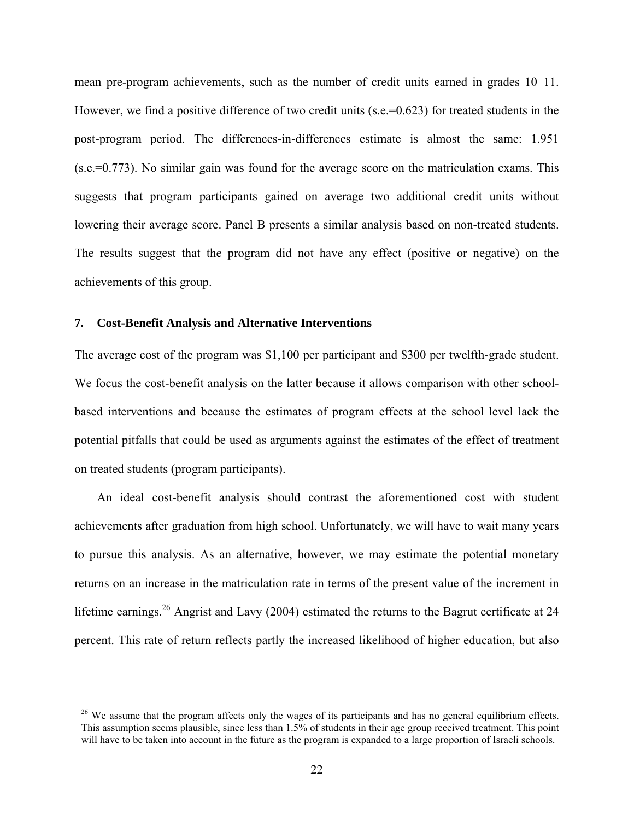mean pre-program achievements, such as the number of credit units earned in grades 10–11. However, we find a positive difference of two credit units (s.e.=0.623) for treated students in the post-program period. The differences-in-differences estimate is almost the same: 1.951 (s.e.=0.773). No similar gain was found for the average score on the matriculation exams. This suggests that program participants gained on average two additional credit units without lowering their average score. Panel B presents a similar analysis based on non-treated students. The results suggest that the program did not have any effect (positive or negative) on the achievements of this group.

### **7. Cost-Benefit Analysis and Alternative Interventions**

The average cost of the program was \$1,100 per participant and \$300 per twelfth-grade student. We focus the cost-benefit analysis on the latter because it allows comparison with other schoolbased interventions and because the estimates of program effects at the school level lack the potential pitfalls that could be used as arguments against the estimates of the effect of treatment on treated students (program participants).

An ideal cost-benefit analysis should contrast the aforementioned cost with student achievements after graduation from high school. Unfortunately, we will have to wait many years to pursue this analysis. As an alternative, however, we may estimate the potential monetary returns on an increase in the matriculation rate in terms of the present value of the increment in lifetime earnings.<sup>26</sup> Angrist and Lavy (2004) estimated the returns to the Bagrut certificate at 24 percent. This rate of return reflects partly the increased likelihood of higher education, but also

<sup>&</sup>lt;sup>26</sup> We assume that the program affects only the wages of its participants and has no general equilibrium effects. This assumption seems plausible, since less than 1.5% of students in their age group received treatment. This point will have to be taken into account in the future as the program is expanded to a large proportion of Israeli schools.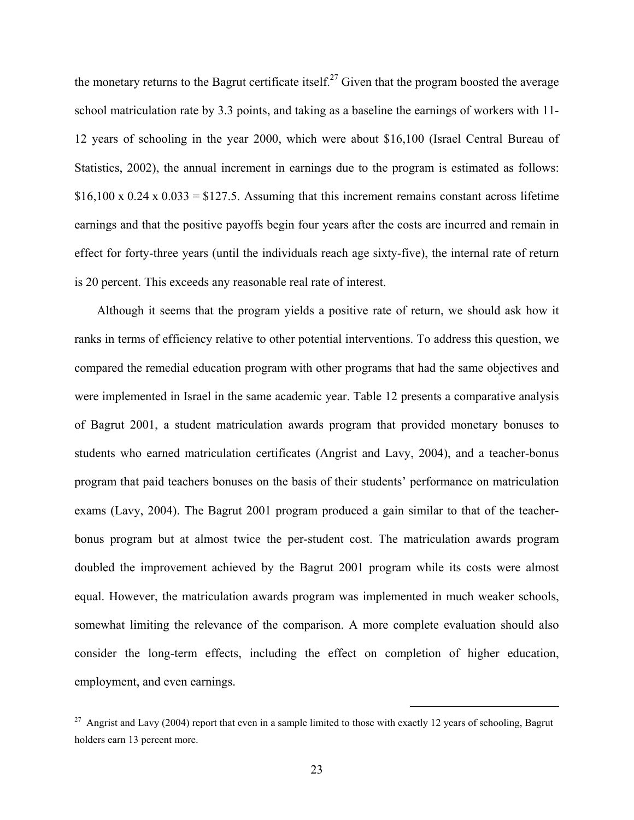the monetary returns to the Bagrut certificate itself.<sup>27</sup> Given that the program boosted the average school matriculation rate by 3.3 points, and taking as a baseline the earnings of workers with 11- 12 years of schooling in the year 2000, which were about \$16,100 (Israel Central Bureau of Statistics, 2002), the annual increment in earnings due to the program is estimated as follows:  $$16,100 \times 0.24 \times 0.033 = $127.5$ . Assuming that this increment remains constant across lifetime earnings and that the positive payoffs begin four years after the costs are incurred and remain in effect for forty-three years (until the individuals reach age sixty-five), the internal rate of return is 20 percent. This exceeds any reasonable real rate of interest.

Although it seems that the program yields a positive rate of return, we should ask how it ranks in terms of efficiency relative to other potential interventions. To address this question, we compared the remedial education program with other programs that had the same objectives and were implemented in Israel in the same academic year. Table 12 presents a comparative analysis of Bagrut 2001, a student matriculation awards program that provided monetary bonuses to students who earned matriculation certificates (Angrist and Lavy, 2004), and a teacher-bonus program that paid teachers bonuses on the basis of their students' performance on matriculation exams (Lavy, 2004). The Bagrut 2001 program produced a gain similar to that of the teacherbonus program but at almost twice the per-student cost. The matriculation awards program doubled the improvement achieved by the Bagrut 2001 program while its costs were almost equal. However, the matriculation awards program was implemented in much weaker schools, somewhat limiting the relevance of the comparison. A more complete evaluation should also consider the long-term effects, including the effect on completion of higher education, employment, and even earnings.

<sup>&</sup>lt;sup>27</sup> Angrist and Lavy (2004) report that even in a sample limited to those with exactly 12 years of schooling, Bagrut holders earn 13 percent more.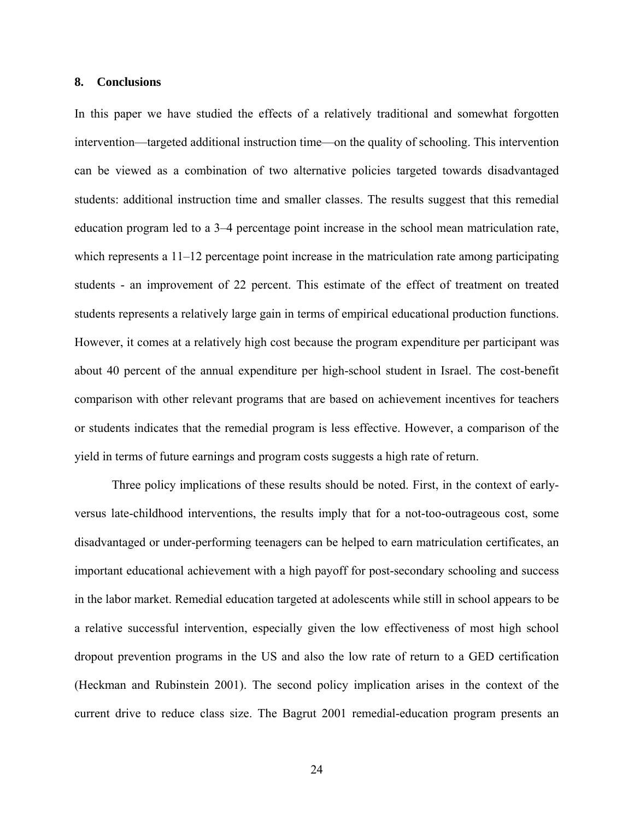#### **8. Conclusions**

In this paper we have studied the effects of a relatively traditional and somewhat forgotten intervention—targeted additional instruction time—on the quality of schooling. This intervention can be viewed as a combination of two alternative policies targeted towards disadvantaged students: additional instruction time and smaller classes. The results suggest that this remedial education program led to a 3–4 percentage point increase in the school mean matriculation rate, which represents a 11–12 percentage point increase in the matriculation rate among participating students - an improvement of 22 percent. This estimate of the effect of treatment on treated students represents a relatively large gain in terms of empirical educational production functions. However, it comes at a relatively high cost because the program expenditure per participant was about 40 percent of the annual expenditure per high-school student in Israel. The cost-benefit comparison with other relevant programs that are based on achievement incentives for teachers or students indicates that the remedial program is less effective. However, a comparison of the yield in terms of future earnings and program costs suggests a high rate of return.

Three policy implications of these results should be noted. First, in the context of earlyversus late-childhood interventions, the results imply that for a not-too-outrageous cost, some disadvantaged or under-performing teenagers can be helped to earn matriculation certificates, an important educational achievement with a high payoff for post-secondary schooling and success in the labor market. Remedial education targeted at adolescents while still in school appears to be a relative successful intervention, especially given the low effectiveness of most high school dropout prevention programs in the US and also the low rate of return to a GED certification (Heckman and Rubinstein 2001). The second policy implication arises in the context of the current drive to reduce class size. The Bagrut 2001 remedial-education program presents an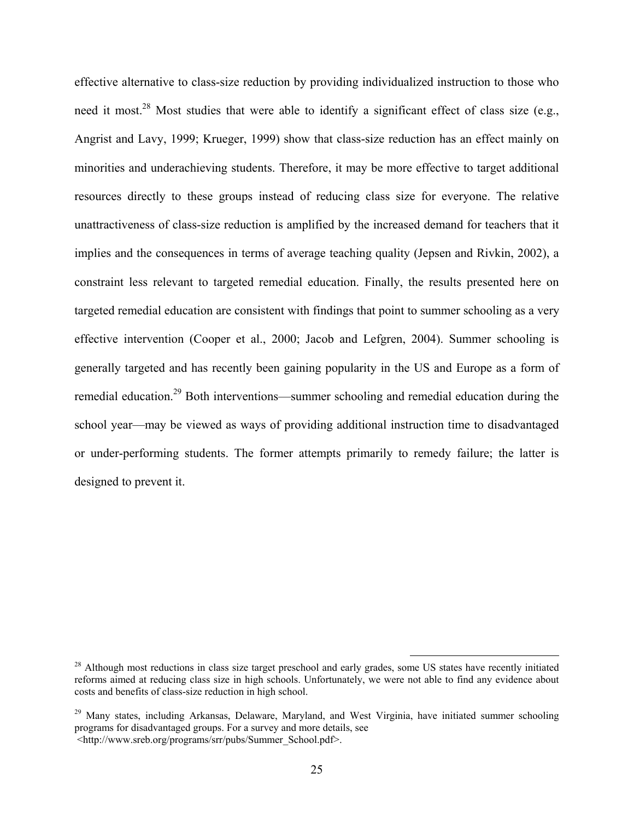effective alternative to class-size reduction by providing individualized instruction to those who need it most.<sup>28</sup> Most studies that were able to identify a significant effect of class size (e.g., Angrist and Lavy, 1999; Krueger, 1999) show that class-size reduction has an effect mainly on minorities and underachieving students. Therefore, it may be more effective to target additional resources directly to these groups instead of reducing class size for everyone. The relative unattractiveness of class-size reduction is amplified by the increased demand for teachers that it implies and the consequences in terms of average teaching quality (Jepsen and Rivkin, 2002), a constraint less relevant to targeted remedial education. Finally, the results presented here on targeted remedial education are consistent with findings that point to summer schooling as a very effective intervention (Cooper et al., 2000; Jacob and Lefgren, 2004). Summer schooling is generally targeted and has recently been gaining popularity in the US and Europe as a form of remedial education.<sup>29</sup> Both interventions—summer schooling and remedial education during the school year—may be viewed as ways of providing additional instruction time to disadvantaged or under-performing students. The former attempts primarily to remedy failure; the latter is designed to prevent it.

<sup>&</sup>lt;sup>28</sup> Although most reductions in class size target preschool and early grades, some US states have recently initiated reforms aimed at reducing class size in high schools. Unfortunately, we were not able to find any evidence about costs and benefits of class-size reduction in high school.

<sup>&</sup>lt;sup>29</sup> Many states, including Arkansas, Delaware, Maryland, and West Virginia, have initiated summer schooling programs for disadvantaged groups. For a survey and more details, see <http://www.sreb.org/programs/srr/pubs/Summer\_School.pdf>.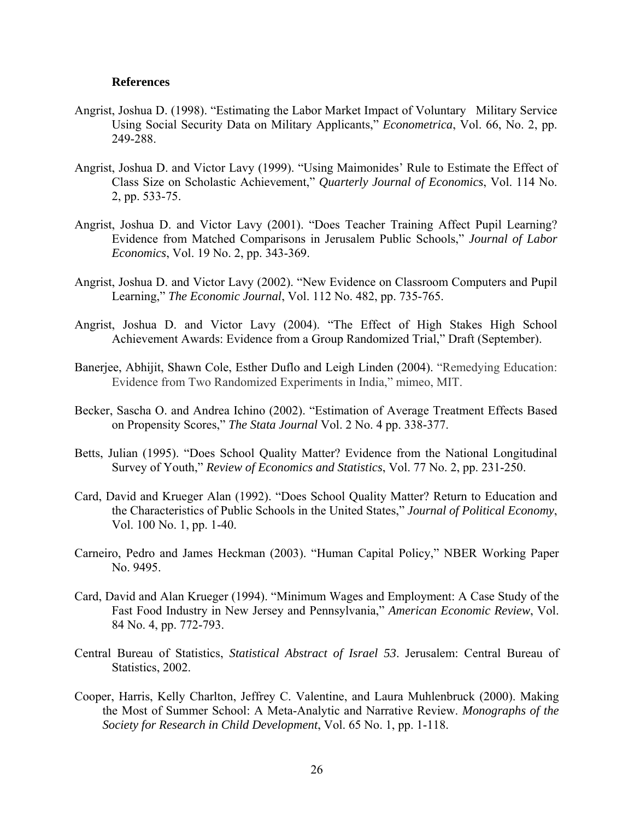#### **References**

- Angrist, Joshua D. (1998). "Estimating the Labor Market Impact of Voluntary Military Service Using Social Security Data on Military Applicants," *Econometrica*, Vol. 66, No. 2, pp. 249-288.
- Angrist, Joshua D. and Victor Lavy (1999). "Using Maimonides' Rule to Estimate the Effect of Class Size on Scholastic Achievement," *Quarterly Journal of Economics*, Vol. 114 No. 2, pp. 533-75.
- Angrist, Joshua D. and Victor Lavy (2001). "Does Teacher Training Affect Pupil Learning? Evidence from Matched Comparisons in Jerusalem Public Schools," *Journal of Labor Economics*, Vol. 19 No. 2, pp. 343-369.
- Angrist, Joshua D. and Victor Lavy (2002). "New Evidence on Classroom Computers and Pupil Learning," *The Economic Journal*, Vol. 112 No. 482, pp. 735-765.
- Angrist, Joshua D. and Victor Lavy (2004). "The Effect of High Stakes High School Achievement Awards: Evidence from a Group Randomized Trial," Draft (September).
- Banerjee, Abhijit, Shawn Cole, Esther Duflo and Leigh Linden (2004). "Remedying Education: Evidence from Two Randomized Experiments in India," mimeo, MIT.
- Becker, Sascha O. and Andrea Ichino (2002). "Estimation of Average Treatment Effects Based on Propensity Scores," *The Stata Journal* Vol. 2 No. 4 pp. 338-377.
- Betts, Julian (1995). "Does School Quality Matter? Evidence from the National Longitudinal Survey of Youth," *Review of Economics and Statistics*, Vol. 77 No. 2, pp. 231-250.
- Card, David and Krueger Alan (1992). "Does School Quality Matter? Return to Education and the Characteristics of Public Schools in the United States," *Journal of Political Economy*, Vol. 100 No. 1, pp. 1-40.
- Carneiro, Pedro and James Heckman (2003). "Human Capital Policy," NBER Working Paper No. 9495.
- Card, David and Alan Krueger (1994). "Minimum Wages and Employment: A Case Study of the Fast Food Industry in New Jersey and Pennsylvania," *American Economic Review*, Vol. 84 No. 4, pp. 772-793.
- Central Bureau of Statistics, *Statistical Abstract of Israel 53*. Jerusalem: Central Bureau of Statistics, 2002.
- Cooper, Harris, Kelly Charlton, Jeffrey C. Valentine, and Laura Muhlenbruck (2000). Making the Most of Summer School: A Meta-Analytic and Narrative Review. *Monographs of the Society for Research in Child Development*, Vol. 65 No. 1, pp. 1-118.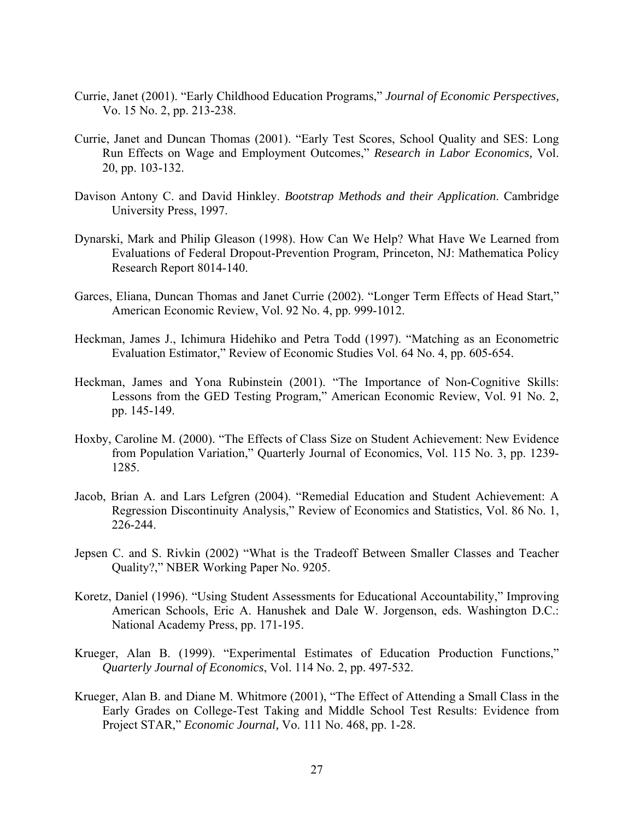- Currie, Janet (2001). "Early Childhood Education Programs," *Journal of Economic Perspectives,*  Vo. 15 No. 2, pp. 213-238.
- Currie, Janet and Duncan Thomas (2001). "Early Test Scores, School Quality and SES: Long Run Effects on Wage and Employment Outcomes," *Research in Labor Economics,* Vol. 20, pp. 103-132.
- Davison Antony C. and David Hinkley. *Bootstrap Methods and their Application*. Cambridge University Press, 1997.
- Dynarski, Mark and Philip Gleason (1998). How Can We Help? What Have We Learned from Evaluations of Federal Dropout-Prevention Program, Princeton, NJ: Mathematica Policy Research Report 8014-140.
- Garces, Eliana, Duncan Thomas and Janet Currie (2002). "Longer Term Effects of Head Start," American Economic Review, Vol. 92 No. 4, pp. 999-1012.
- Heckman, James J., Ichimura Hidehiko and Petra Todd (1997). "Matching as an Econometric Evaluation Estimator," Review of Economic Studies Vol. 64 No. 4, pp. 605-654.
- Heckman, James and Yona Rubinstein (2001). "The Importance of Non-Cognitive Skills: Lessons from the GED Testing Program," American Economic Review, Vol. 91 No. 2, pp. 145-149.
- Hoxby, Caroline M. (2000). "The Effects of Class Size on Student Achievement: New Evidence from Population Variation," Quarterly Journal of Economics, Vol. 115 No. 3, pp. 1239- 1285.
- Jacob, Brian A. and Lars Lefgren (2004). "Remedial Education and Student Achievement: A Regression Discontinuity Analysis," Review of Economics and Statistics, Vol. 86 No. 1, 226-244.
- Jepsen C. and S. Rivkin (2002) "What is the Tradeoff Between Smaller Classes and Teacher Quality?," NBER Working Paper No. 9205.
- Koretz, Daniel (1996). "Using Student Assessments for Educational Accountability," Improving American Schools, Eric A. Hanushek and Dale W. Jorgenson, eds. Washington D.C.: National Academy Press, pp. 171-195.
- Krueger, Alan B. (1999). "Experimental Estimates of Education Production Functions," *Quarterly Journal of Economics*, Vol. 114 No. 2, pp. 497-532.
- Krueger, Alan B. and Diane M. Whitmore (2001), "The Effect of Attending a Small Class in the Early Grades on College-Test Taking and Middle School Test Results: Evidence from Project STAR," *Economic Journal,* Vo. 111 No. 468, pp. 1-28.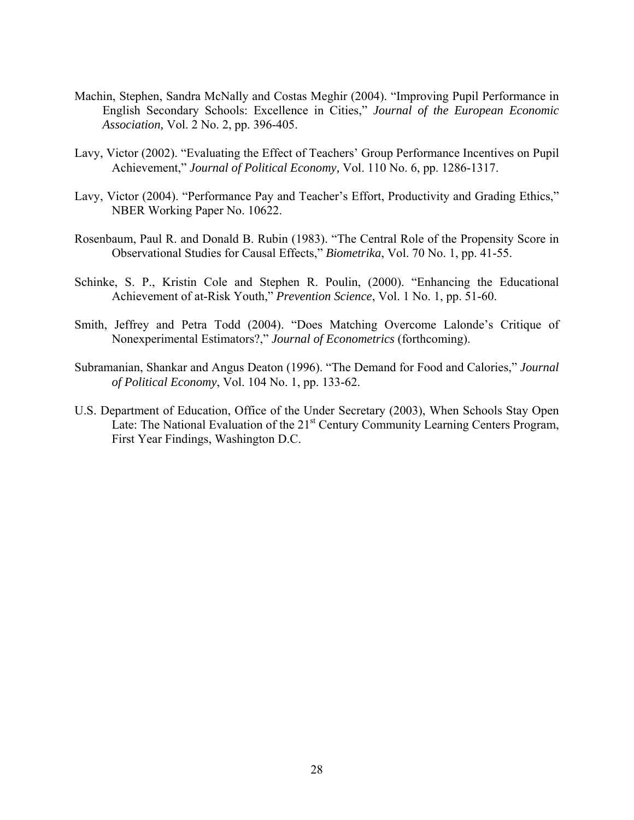- Machin, Stephen, Sandra McNally and Costas Meghir (2004). "Improving Pupil Performance in English Secondary Schools: Excellence in Cities," *Journal of the European Economic Association,* Vol. 2 No. 2, pp. 396-405.
- Lavy, Victor (2002). "Evaluating the Effect of Teachers' Group Performance Incentives on Pupil Achievement," *Journal of Political Economy,* Vol. 110 No. 6, pp. 1286-1317.
- Lavy, Victor (2004). "Performance Pay and Teacher's Effort, Productivity and Grading Ethics," NBER Working Paper No. 10622.
- Rosenbaum, Paul R. and Donald B. Rubin (1983). "The Central Role of the Propensity Score in Observational Studies for Causal Effects," *Biometrika*, Vol. 70 No. 1, pp. 41-55.
- Schinke, S. P., Kristin Cole and Stephen R. Poulin, (2000). "Enhancing the Educational Achievement of at-Risk Youth," *Prevention Science*, Vol. 1 No. 1, pp. 51-60.
- Smith, Jeffrey and Petra Todd (2004). "Does Matching Overcome Lalonde's Critique of Nonexperimental Estimators?," *Journal of Econometrics* (forthcoming).
- Subramanian, Shankar and Angus Deaton (1996). "The Demand for Food and Calories," *Journal of Political Economy*, Vol. 104 No. 1, pp. 133-62.
- U.S. Department of Education, Office of the Under Secretary (2003), When Schools Stay Open Late: The National Evaluation of the 21<sup>st</sup> Century Community Learning Centers Program, First Year Findings, Washington D.C.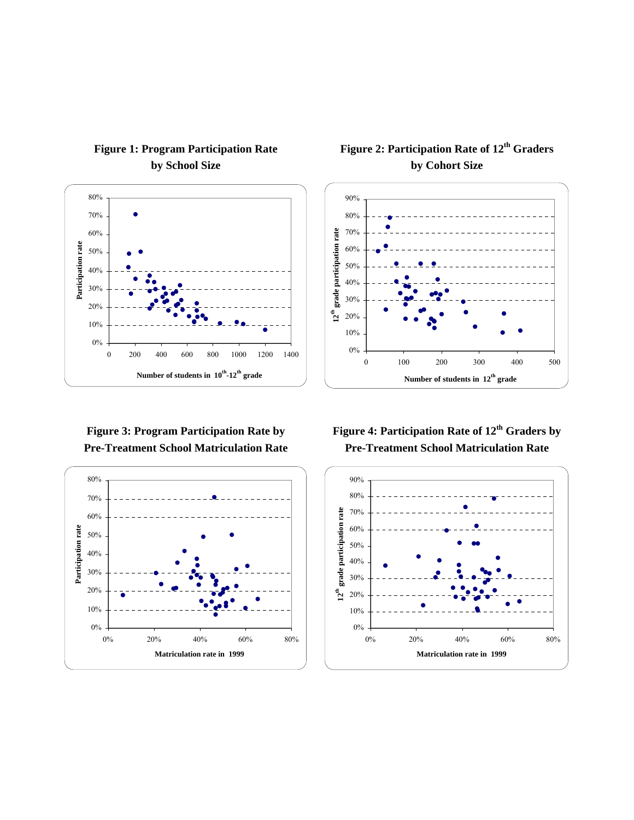

# **Figure 1: Program Participation Rate by School Size**

**Figure 3: Program Participation Rate by Pre-Treatment School Matriculation Rate** 



# **Figure 2: Participation Rate of 12<sup>th</sup> Graders by Cohort Size**



# Figure 4: Participation Rate of  $12<sup>th</sup>$  Graders by **Pre-Treatment School Matriculation Rate**

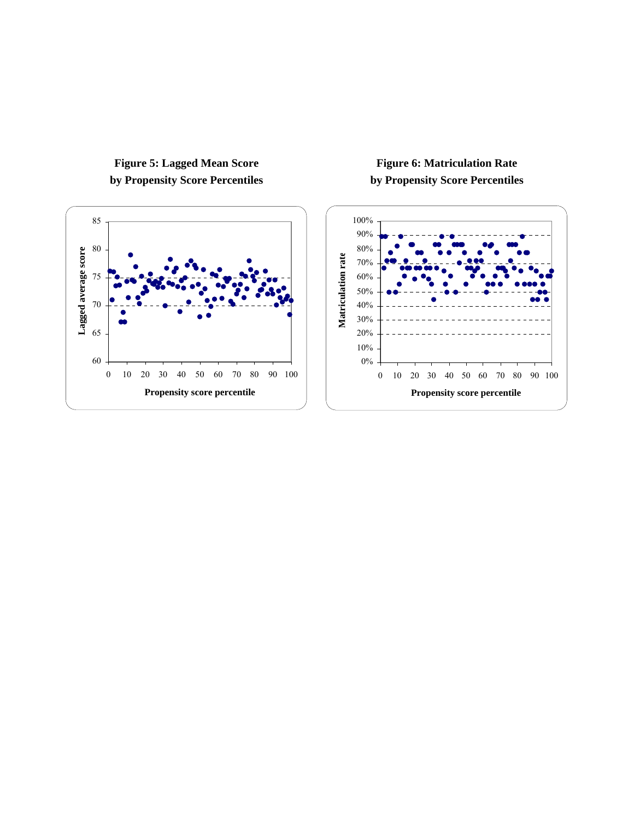

# **Figure 5: Lagged Mean Score by Propensity Score Percentiles**

# **Figure 6: Matriculation Rate by Propensity Score Percentiles**

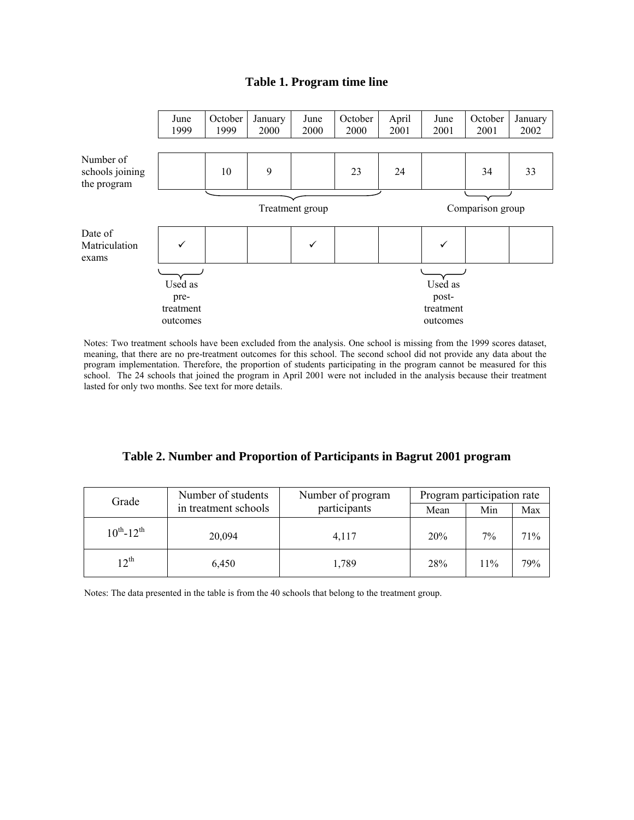### **Table 1. Program time line**



 Notes: Two treatment schools have been excluded from the analysis. One school is missing from the 1999 scores dataset, meaning, that there are no pre-treatment outcomes for this school. The second school did not provide any data about the program implementation. Therefore, the proportion of students participating in the program cannot be measured for this school. The 24 schools that joined the program in April 2001 were not included in the analysis because their treatment lasted for only two months. See text for more details.

**Table 2. Number and Proportion of Participants in Bagrut 2001 program** 

| Grade               | Number of students   | Number of program | Program participation rate |     |     |  |
|---------------------|----------------------|-------------------|----------------------------|-----|-----|--|
|                     | in treatment schools | participants      | Mean                       | Min | Max |  |
| $10^{th} - 12^{th}$ | 20,094               | 4,117             | 20%                        | 7%  | 71% |  |
| $12^{th}$           | 6,450                | 1,789             | 28%                        | 11% | 79% |  |

Notes: The data presented in the table is from the 40 schools that belong to the treatment group.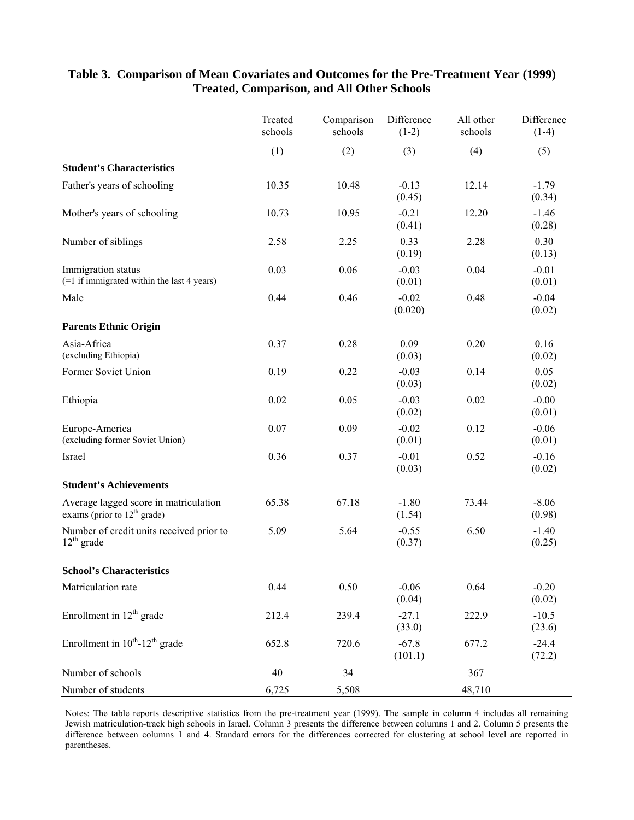|                                                                        | Treated<br>schools | Comparison<br>schools | Difference<br>$(1-2)$ | All other<br>schools | Difference<br>$(1-4)$ |
|------------------------------------------------------------------------|--------------------|-----------------------|-----------------------|----------------------|-----------------------|
|                                                                        | (1)                | (2)                   | (3)                   | (4)                  | (5)                   |
| <b>Student's Characteristics</b>                                       |                    |                       |                       |                      |                       |
| Father's years of schooling                                            | 10.35              | 10.48                 | $-0.13$<br>(0.45)     | 12.14                | $-1.79$<br>(0.34)     |
| Mother's years of schooling                                            | 10.73              | 10.95                 | $-0.21$<br>(0.41)     | 12.20                | $-1.46$<br>(0.28)     |
| Number of siblings                                                     | 2.58               | 2.25                  | 0.33<br>(0.19)        | 2.28                 | 0.30<br>(0.13)        |
| Immigration status<br>(=1 if immigrated within the last 4 years)       | 0.03               | 0.06                  | $-0.03$<br>(0.01)     | 0.04                 | $-0.01$<br>(0.01)     |
| Male                                                                   | 0.44               | 0.46                  | $-0.02$<br>(0.020)    | 0.48                 | $-0.04$<br>(0.02)     |
| <b>Parents Ethnic Origin</b>                                           |                    |                       |                       |                      |                       |
| Asia-Africa<br>(excluding Ethiopia)                                    | 0.37               | 0.28                  | 0.09<br>(0.03)        | 0.20                 | 0.16<br>(0.02)        |
| Former Soviet Union                                                    | 0.19               | 0.22                  | $-0.03$<br>(0.03)     | 0.14                 | 0.05<br>(0.02)        |
| Ethiopia                                                               | 0.02               | 0.05                  | $-0.03$<br>(0.02)     | 0.02                 | $-0.00$<br>(0.01)     |
| Europe-America<br>(excluding former Soviet Union)                      | 0.07               | 0.09                  | $-0.02$<br>(0.01)     | 0.12                 | $-0.06$<br>(0.01)     |
| Israel                                                                 | 0.36               | 0.37                  | $-0.01$<br>(0.03)     | 0.52                 | $-0.16$<br>(0.02)     |
| <b>Student's Achievements</b>                                          |                    |                       |                       |                      |                       |
| Average lagged score in matriculation<br>exams (prior to $12th$ grade) | 65.38              | 67.18                 | $-1.80$<br>(1.54)     | 73.44                | $-8.06$<br>(0.98)     |
| Number of credit units received prior to<br>$12^{th}$ grade            | 5.09               | 5.64                  | $-0.55$<br>(0.37)     | 6.50                 | $-1.40$<br>(0.25)     |
| <b>School's Characteristics</b>                                        |                    |                       |                       |                      |                       |
| Matriculation rate                                                     | 0.44               | 0.50                  | $-0.06$<br>(0.04)     | 0.64                 | $-0.20$<br>(0.02)     |
| Enrollment in $12th$ grade                                             | 212.4              | 239.4                 | $-27.1$<br>(33.0)     | 222.9                | $-10.5$<br>(23.6)     |
| Enrollment in $10^{th}$ -12 <sup>th</sup> grade                        | 652.8              | 720.6                 | $-67.8$<br>(101.1)    | 677.2                | $-24.4$<br>(72.2)     |
| Number of schools                                                      | 40                 | 34                    |                       | 367                  |                       |
| Number of students                                                     | 6,725              | 5,508                 |                       | 48,710               |                       |

# **Table 3. Comparison of Mean Covariates and Outcomes for the Pre-Treatment Year (1999) Treated, Comparison, and All Other Schools**

Notes: The table reports descriptive statistics from the pre-treatment year (1999). The sample in column 4 includes all remaining Jewish matriculation-track high schools in Israel. Column 3 presents the difference between columns 1 and 2. Column 5 presents the difference between columns 1 and 4. Standard errors for the differences corrected for clustering at school level are reported in parentheses.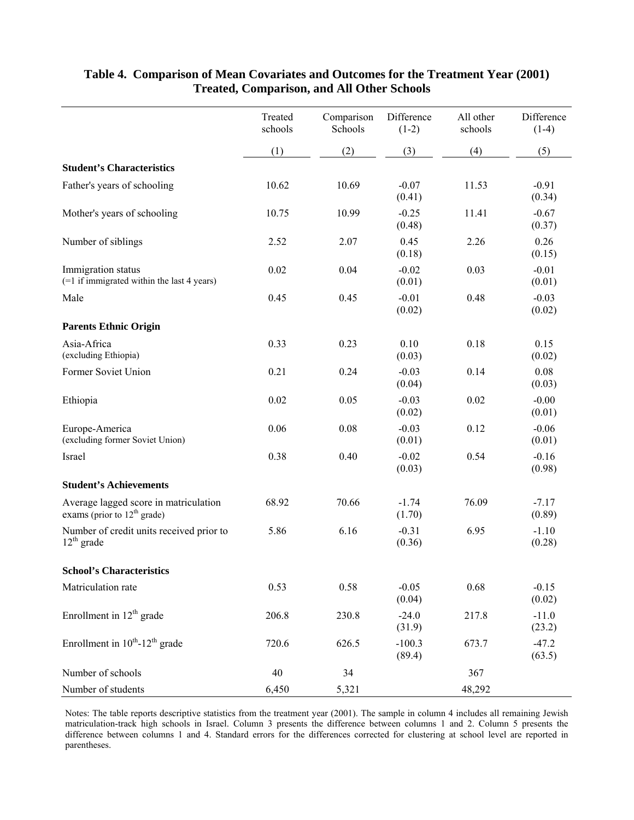|                                                                        | Treated<br>schools | Comparison<br>Schools | Difference<br>$(1-2)$ | All other<br>schools | Difference<br>$(1-4)$ |
|------------------------------------------------------------------------|--------------------|-----------------------|-----------------------|----------------------|-----------------------|
|                                                                        | (1)                | (2)                   | (3)                   | (4)                  | (5)                   |
| <b>Student's Characteristics</b>                                       |                    |                       |                       |                      |                       |
| Father's years of schooling                                            | 10.62              | 10.69                 | $-0.07$<br>(0.41)     | 11.53                | $-0.91$<br>(0.34)     |
| Mother's years of schooling                                            | 10.75              | 10.99                 | $-0.25$<br>(0.48)     | 11.41                | $-0.67$<br>(0.37)     |
| Number of siblings                                                     | 2.52               | 2.07                  | 0.45<br>(0.18)        | 2.26                 | 0.26<br>(0.15)        |
| Immigration status<br>(=1 if immigrated within the last 4 years)       | 0.02               | 0.04                  | $-0.02$<br>(0.01)     | 0.03                 | $-0.01$<br>(0.01)     |
| Male                                                                   | 0.45               | 0.45                  | $-0.01$<br>(0.02)     | 0.48                 | $-0.03$<br>(0.02)     |
| <b>Parents Ethnic Origin</b>                                           |                    |                       |                       |                      |                       |
| Asia-Africa<br>(excluding Ethiopia)                                    | 0.33               | 0.23                  | 0.10<br>(0.03)        | 0.18                 | 0.15<br>(0.02)        |
| Former Soviet Union                                                    | 0.21               | 0.24                  | $-0.03$<br>(0.04)     | 0.14                 | 0.08<br>(0.03)        |
| Ethiopia                                                               | 0.02               | 0.05                  | $-0.03$<br>(0.02)     | 0.02                 | $-0.00$<br>(0.01)     |
| Europe-America<br>(excluding former Soviet Union)                      | 0.06               | 0.08                  | $-0.03$<br>(0.01)     | 0.12                 | $-0.06$<br>(0.01)     |
| Israel                                                                 | 0.38               | 0.40                  | $-0.02$<br>(0.03)     | 0.54                 | $-0.16$<br>(0.98)     |
| <b>Student's Achievements</b>                                          |                    |                       |                       |                      |                       |
| Average lagged score in matriculation<br>exams (prior to $12th$ grade) | 68.92              | 70.66                 | $-1.74$<br>(1.70)     | 76.09                | $-7.17$<br>(0.89)     |
| Number of credit units received prior to<br>$12th$ grade               | 5.86               | 6.16                  | $-0.31$<br>(0.36)     | 6.95                 | $-1.10$<br>(0.28)     |
| <b>School's Characteristics</b>                                        |                    |                       |                       |                      |                       |
| Matriculation rate                                                     | 0.53               | 0.58                  | $-0.05$<br>(0.04)     | 0.68                 | $-0.15$<br>(0.02)     |
| Enrollment in $12th$ grade                                             | 206.8              | 230.8                 | $-24.0$<br>(31.9)     | 217.8                | $-11.0$<br>(23.2)     |
| Enrollment in $10^{th}$ -12 <sup>th</sup> grade                        | 720.6              | 626.5                 | $-100.3$<br>(89.4)    | 673.7                | $-47.2$<br>(63.5)     |
| Number of schools                                                      | 40                 | 34                    |                       | 367                  |                       |
| Number of students                                                     | 6,450              | 5,321                 |                       | 48,292               |                       |

# **Table 4. Comparison of Mean Covariates and Outcomes for the Treatment Year (2001) Treated, Comparison, and All Other Schools**

Notes: The table reports descriptive statistics from the treatment year (2001). The sample in column 4 includes all remaining Jewish matriculation-track high schools in Israel. Column 3 presents the difference between columns 1 and 2. Column 5 presents the difference between columns 1 and 4. Standard errors for the differences corrected for clustering at school level are reported in parentheses.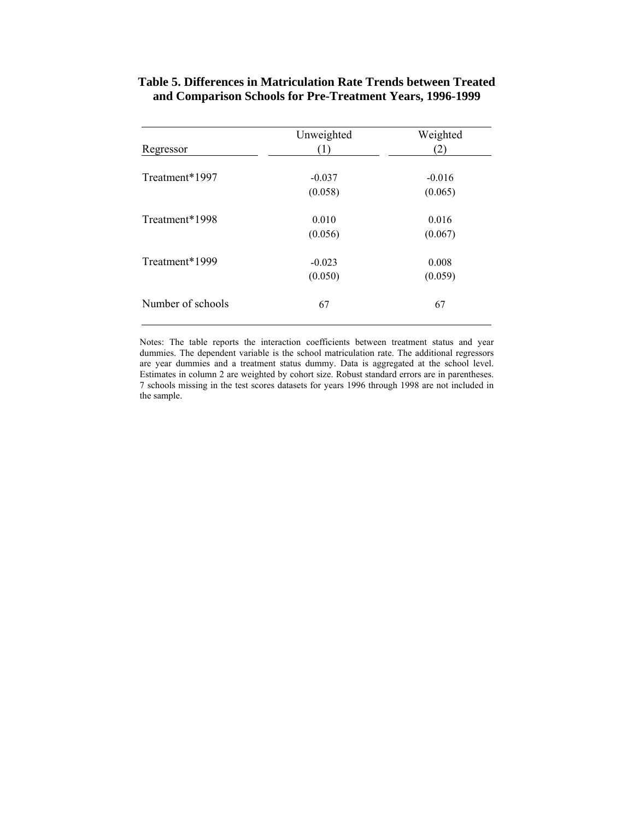| Table 5. Differences in Matriculation Rate Trends between Treated |  |
|-------------------------------------------------------------------|--|
| and Comparison Schools for Pre-Treatment Years, 1996-1999         |  |

| Regressor         | Unweighted<br>(1) | Weighted<br>(2) |
|-------------------|-------------------|-----------------|
|                   |                   |                 |
| Treatment*1997    | $-0.037$          | $-0.016$        |
|                   | (0.058)           | (0.065)         |
| Treatment*1998    | 0.010             | 0.016           |
|                   | (0.056)           | (0.067)         |
| Treatment*1999    | $-0.023$          | 0.008           |
|                   | (0.050)           | (0.059)         |
| Number of schools | 67                | 67              |

Notes: The table reports the interaction coefficients between treatment status and year dummies. The dependent variable is the school matriculation rate. The additional regressors are year dummies and a treatment status dummy. Data is aggregated at the school level. Estimates in column 2 are weighted by cohort size. Robust standard errors are in parentheses. 7 schools missing in the test scores datasets for years 1996 through 1998 are not included in the sample.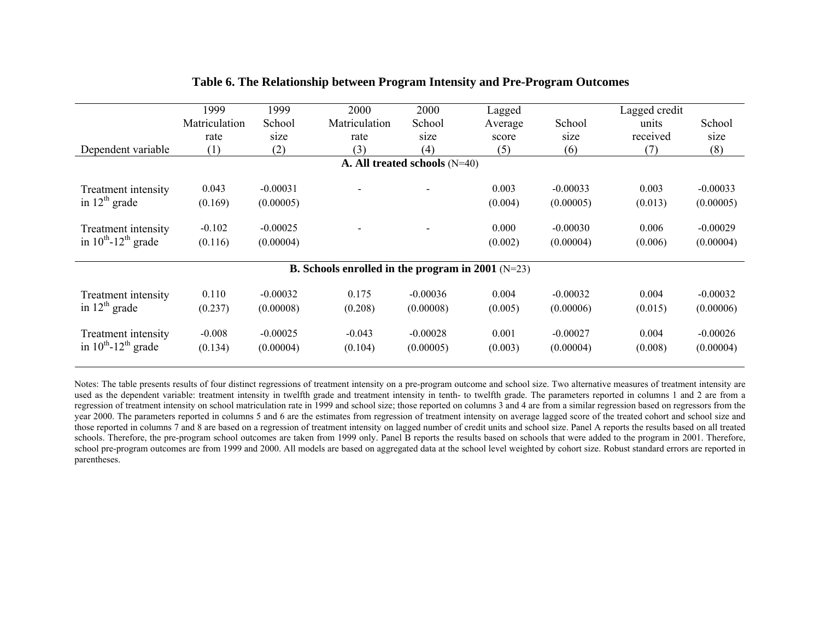|                                      | 1999          | 1999       | 2000                                                       | 2000                            | Lagged  |            | Lagged credit |            |
|--------------------------------------|---------------|------------|------------------------------------------------------------|---------------------------------|---------|------------|---------------|------------|
|                                      | Matriculation | School     | Matriculation                                              | School                          | Average | School     | units         | School     |
|                                      | rate          | size       | rate                                                       | size                            | score   | size       | received      | size       |
| Dependent variable                   | (1)           | (2)        | (3)                                                        | (4)                             | (5)     | (6)        | (7)           | (8)        |
|                                      |               |            |                                                            | A. All treated schools $(N=40)$ |         |            |               |            |
| Treatment intensity                  | 0.043         | $-0.00031$ |                                                            |                                 | 0.003   | $-0.00033$ | 0.003         | $-0.00033$ |
| in $12th$ grade                      | (0.169)       | (0.00005)  |                                                            |                                 | (0.004) | (0.00005)  | (0.013)       | (0.00005)  |
| <b>Treatment</b> intensity           | $-0.102$      | $-0.00025$ |                                                            |                                 | 0.000   | $-0.00030$ | 0.006         | $-0.00029$ |
| in $10^{th}$ -12 <sup>th</sup> grade | (0.116)       | (0.00004)  |                                                            |                                 | (0.002) | (0.00004)  | (0.006)       | (0.00004)  |
|                                      |               |            | <b>B.</b> Schools enrolled in the program in 2001 $(N=23)$ |                                 |         |            |               |            |
| Treatment intensity                  | 0.110         | $-0.00032$ | 0.175                                                      | $-0.00036$                      | 0.004   | $-0.00032$ | 0.004         | $-0.00032$ |
| in $12^{th}$ grade                   | (0.237)       | (0.00008)  | (0.208)                                                    | (0.00008)                       | (0.005) | (0.00006)  | (0.015)       | (0.00006)  |
| <b>Treatment</b> intensity           | $-0.008$      | $-0.00025$ | $-0.043$                                                   | $-0.00028$                      | 0.001   | $-0.00027$ | 0.004         | $-0.00026$ |
| in $10^{th}$ -12 <sup>th</sup> grade | (0.134)       | (0.00004)  | (0.104)                                                    | (0.00005)                       | (0.003) | (0.00004)  | (0.008)       | (0.00004)  |

## **Table 6. The Relationship between Program Intensity and Pre-Program Outcomes**

Notes: The table presents results of four distinct regressions of treatment intensity on a pre-program outcome and school size. Two alternative measures of treatment intensity are used as the dependent variable: treatment intensity in twelfth grade and treatment intensity in tenth- to twelfth grade. The parameters reported in columns 1 and 2 are from a regression of treatment intensity on school matriculation rate in 1999 and school size; those reported on columns 3 and 4 are from a similar regression based on regressors from the year 2000. The parameters reported in columns 5 and 6 are the estimates from regression of treatment intensity on average lagged score of the treated cohort and school size and those reported in columns 7 and 8 are based on a regression of treatment intensity on lagged number of credit units and school size. Panel A reports the results based on all treated schools. Therefore, the pre-program school outcomes are taken from 1999 only. Panel B reports the results based on schools that were added to the program in 2001. Therefore, school pre-program outcomes are from 1999 and 2000. All models are based on aggregated data at the school level weighted by cohort size. Robust standard errors are reported in parentheses.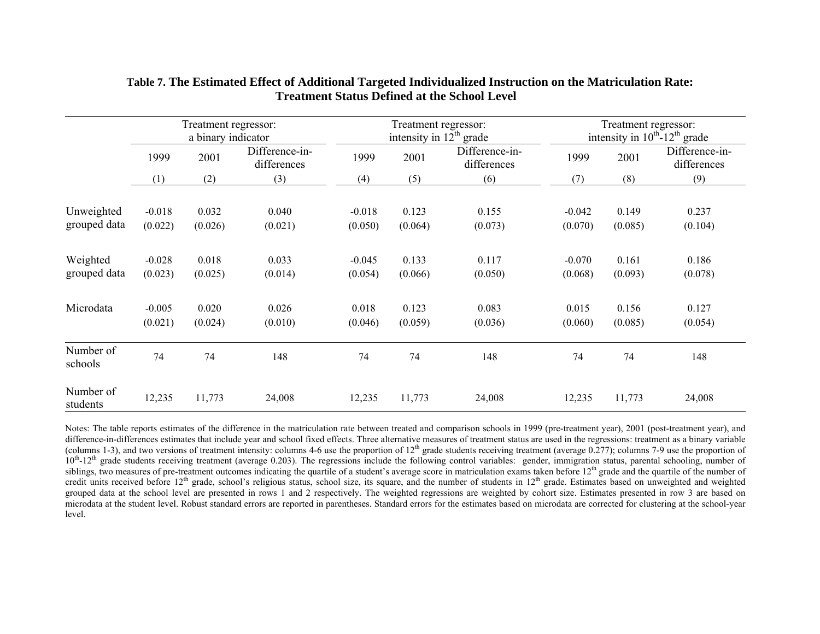|                            | Treatment regressor:<br>a binary indicator |                  |                               | Treatment regressor:<br>intensity in $12th$ grade |                  |                               | Treatment regressor:<br>intensity in $10^{th}$ -12 <sup>th</sup> grade |                  |                               |
|----------------------------|--------------------------------------------|------------------|-------------------------------|---------------------------------------------------|------------------|-------------------------------|------------------------------------------------------------------------|------------------|-------------------------------|
|                            | 1999                                       | 2001             | Difference-in-<br>differences | 1999                                              | 2001             | Difference-in-<br>differences |                                                                        | 2001             | Difference-in-<br>differences |
|                            | (1)                                        | (2)              | (3)                           | (4)                                               | (5)              | (6)                           | (7)                                                                    | (8)              | (9)                           |
| Unweighted<br>grouped data | $-0.018$<br>(0.022)                        | 0.032<br>(0.026) | 0.040<br>(0.021)              | $-0.018$<br>(0.050)                               | 0.123<br>(0.064) | 0.155<br>(0.073)              | $-0.042$<br>(0.070)                                                    | 0.149<br>(0.085) | 0.237<br>(0.104)              |
| Weighted<br>grouped data   | $-0.028$<br>(0.023)                        | 0.018<br>(0.025) | 0.033<br>(0.014)              | $-0.045$<br>(0.054)                               | 0.133<br>(0.066) | 0.117<br>(0.050)              | $-0.070$<br>(0.068)                                                    | 0.161<br>(0.093) | 0.186<br>(0.078)              |
| Microdata                  | $-0.005$<br>(0.021)                        | 0.020<br>(0.024) | 0.026<br>(0.010)              | 0.018<br>(0.046)                                  | 0.123<br>(0.059) | 0.083<br>(0.036)              | 0.015<br>(0.060)                                                       | 0.156<br>(0.085) | 0.127<br>(0.054)              |
| Number of<br>schools       | 74                                         | 74               | 148                           | 74                                                | 74               | 148                           | 74                                                                     | 74               | 148                           |
| Number of<br>students      | 12,235                                     | 11,773           | 24,008                        | 12,235                                            | 11,773           | 24,008                        | 12,235                                                                 | 11,773           | 24,008                        |

### **Table 7. The Estimated Effect of Additional Targeted Individualized Instruction on the Matriculation Rate: Treatment Status Defined at the School Level**

Notes: The table reports estimates of the difference in the matriculation rate between treated and comparison schools in 1999 (pre-treatment year), 2001 (post-treatment year), and difference-in-differences estimates that include year and school fixed effects. Three alternative measures of treatment status are used in the regressions: treatment as a binary variable (columns 1-3), and two versions of treatment intensity: columns 4-6 use the proportion of  $12<sup>th</sup>$  grade students receiving treatment (average 0.277); columns 7-9 use the proportion of  $10<sup>th</sup>$ -12<sup>th</sup> grade students receiving treatment (average 0.203). The regressions include the following control variables: gender, immigration status, parental schooling, number of siblings, two measures of pre-treatment outcomes indicating the quartile of a student's average score in matriculation exams taken before  $12<sup>th</sup>$  grade and the quartile of the number of credit units received before  $12<sup>th</sup>$  grade, school's religious status, school size, its square, and the number of students in  $12<sup>th</sup>$  grade. Estimates based on unweighted and weighted grouped data at the school level are presented in rows 1 and 2 respectively. The weighted regressions are weighted by cohort size. Estimates presented in row 3 are based on microdata at the student level. Robust standard errors are reported in parentheses. Standard errors for the estimates based on microdata are corrected for clustering at the school-year level.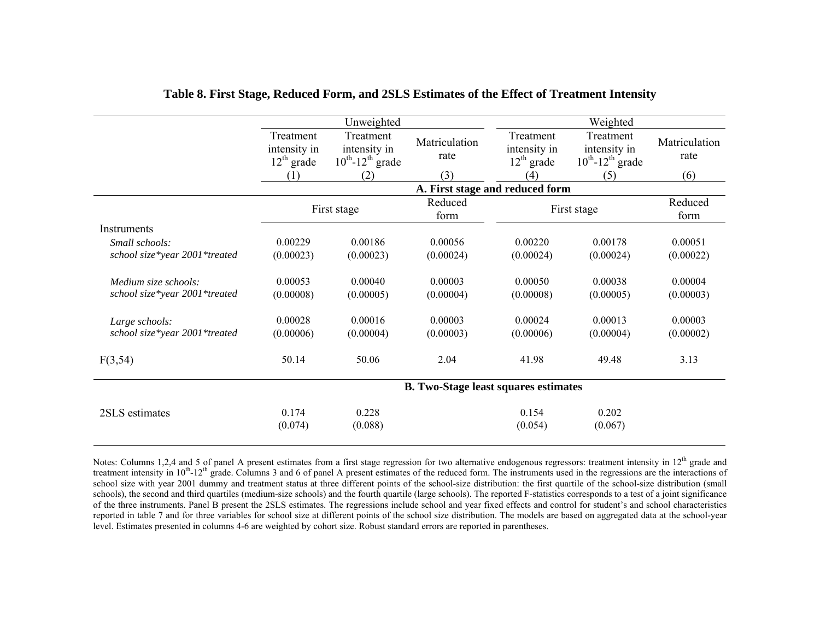|                                                 |                                           | Unweighted                                                     |                                             | Weighted                                  |                                                                |                       |  |
|-------------------------------------------------|-------------------------------------------|----------------------------------------------------------------|---------------------------------------------|-------------------------------------------|----------------------------------------------------------------|-----------------------|--|
|                                                 | Treatment<br>intensity in<br>$12th$ grade | Treatment<br>intensity in<br>$10^{th}$ -12 <sup>th</sup> grade | Matriculation<br>rate                       | Treatment<br>intensity in<br>$12th$ grade | Treatment<br>intensity in<br>$10^{th}$ -12 <sup>th</sup> grade | Matriculation<br>rate |  |
|                                                 | (1)                                       | (2)                                                            | (3)                                         | (4)                                       | (5)                                                            | (6)                   |  |
|                                                 |                                           |                                                                |                                             | A. First stage and reduced form           |                                                                |                       |  |
|                                                 |                                           | First stage                                                    | Reduced<br>form                             |                                           | First stage                                                    | Reduced<br>form       |  |
| <b>Instruments</b>                              |                                           |                                                                |                                             |                                           |                                                                |                       |  |
| Small schools:                                  | 0.00229                                   | 0.00186                                                        | 0.00056                                     | 0.00220                                   | 0.00178                                                        | 0.00051               |  |
| school size*year 2001*treated                   | (0.00023)                                 | (0.00023)                                                      | (0.00024)                                   | (0.00024)                                 | (0.00024)                                                      | (0.00022)             |  |
|                                                 |                                           |                                                                |                                             |                                           |                                                                |                       |  |
| Medium size schools:                            | 0.00053                                   | 0.00040                                                        | 0.00003                                     | 0.00050                                   | 0.00038                                                        | 0.00004               |  |
| school size*year 2001*treated                   | (0.00008)                                 | (0.00005)                                                      | (0.00004)                                   | (0.00008)                                 | (0.00005)                                                      | (0.00003)             |  |
| Large schools:<br>school size*year 2001*treated | 0.00028<br>(0.00006)                      | 0.00016<br>(0.00004)                                           | 0.00003<br>(0.00003)                        | 0 00024<br>(0.00006)                      | 0.00013<br>(0.00004)                                           | 0.00003<br>(0.00002)  |  |
| F(3,54)                                         | 50.14                                     | 50.06                                                          | 2.04                                        | 41.98                                     | 49.48                                                          | 3.13                  |  |
|                                                 |                                           |                                                                | <b>B.</b> Two-Stage least squares estimates |                                           |                                                                |                       |  |
| 2SLS estimates                                  | 0.174<br>(0.074)                          | 0.228<br>(0.088)                                               |                                             | 0.154<br>(0.054)                          | 0.202<br>(0.067)                                               |                       |  |

### **Table 8. First Stage, Reduced Form, and 2SLS Estimates of the Effect of Treatment Intensity**

Notes: Columns 1,2,4 and 5 of panel A present estimates from a first stage regression for two alternative endogenous regressors: treatment intensity in 12<sup>th</sup> grade and treatment intensity in 10<sup>th</sup>-12<sup>th</sup> grade. Columns 3 and 6 of panel A present estimates of the reduced form. The instruments used in the regressions are the interactions of school size with year 2001 dummy and treatment status at three different points of the school-size distribution: the first quartile of the school-size distribution (small schools), the second and third quartiles (medium-size schools) and the fourth quartile (large schools). The reported F-statistics corresponds to a test of a joint significance of the three instruments. Panel B present the 2SLS estimates. The regressions include school and year fixed effects and control for student's and school characteristics reported in table 7 and for three variables for school size at different points of the school size distribution. The models are based on aggregated data at the school-year level. Estimates presented in columns 4-6 are weighted by cohort size. Robust standard errors are reported in parentheses.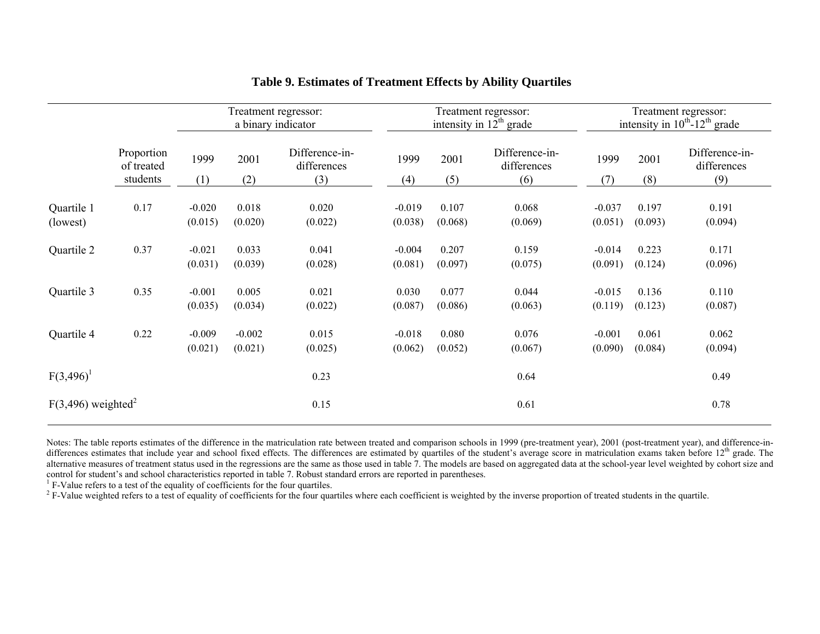|                                  |                                      | Treatment regressor:<br>a binary indicator |                     |                                      | Treatment regressor:<br>intensity in $12th$ grade |                  |                                      | Treatment regressor:<br>intensity in $10^{th}$ -12 <sup>th</sup> grade |                  |                                      |
|----------------------------------|--------------------------------------|--------------------------------------------|---------------------|--------------------------------------|---------------------------------------------------|------------------|--------------------------------------|------------------------------------------------------------------------|------------------|--------------------------------------|
|                                  | Proportion<br>of treated<br>students | 1999<br>(1)                                | 2001<br>(2)         | Difference-in-<br>differences<br>(3) | 1999<br>(4)                                       | 2001<br>(5)      | Difference-in-<br>differences<br>(6) | 1999<br>(7)                                                            | 2001<br>(8)      | Difference-in-<br>differences<br>(9) |
| Quartile 1<br>(lowest)           | 0.17                                 | $-0.020$<br>(0.015)                        | 0.018<br>(0.020)    | 0.020<br>(0.022)                     | $-0.019$<br>(0.038)                               | 0.107<br>(0.068) | 0.068<br>(0.069)                     | $-0.037$<br>(0.051)                                                    | 0.197<br>(0.093) | 0.191<br>(0.094)                     |
| Quartile 2                       | 0.37                                 | $-0.021$<br>(0.031)                        | 0.033<br>(0.039)    | 0.041<br>(0.028)                     | $-0.004$<br>(0.081)                               | 0.207<br>(0.097) | 0.159<br>(0.075)                     | $-0.014$<br>(0.091)                                                    | 0.223<br>(0.124) | 0.171<br>(0.096)                     |
| Quartile 3                       | 0.35                                 | $-0.001$<br>(0.035)                        | 0.005<br>(0.034)    | 0.021<br>(0.022)                     | 0.030<br>(0.087)                                  | 0.077<br>(0.086) | 0.044<br>(0.063)                     | $-0.015$<br>(0.119)                                                    | 0.136<br>(0.123) | 0.110<br>(0.087)                     |
| Quartile 4                       | 0.22                                 | $-0.009$<br>(0.021)                        | $-0.002$<br>(0.021) | 0.015<br>(0.025)                     | $-0.018$<br>(0.062)                               | 0.080<br>(0.052) | 0.076<br>(0.067)                     | $-0.001$<br>(0.090)                                                    | 0.061<br>(0.084) | 0.062<br>(0.094)                     |
| $F(3,496)^1$                     |                                      |                                            |                     | 0.23                                 |                                                   |                  | 0.64                                 |                                                                        |                  | 0.49                                 |
| $F(3,496)$ weighted <sup>2</sup> |                                      |                                            |                     | 0.15                                 |                                                   |                  | 0.61                                 |                                                                        |                  | 0.78                                 |

# **Table 9. Estimates of Treatment Effects by Ability Quartiles**

Notes: The table reports estimates of the difference in the matriculation rate between treated and comparison schools in 1999 (pre-treatment year), 2001 (post-treatment year), and difference-indifferences estimates that include year and school fixed effects. The differences are estimated by quartiles of the student's average score in matriculation exams taken before 12<sup>th</sup> grade. The alternative measures of treatment status used in the regressions are the same as those used in table 7. The models are based on aggregated data at the school-year level weighted by cohort size and

control for student's and school characteristics reported in table 7. Robust standard errors are reported in parentheses.<br><sup>1</sup> F-Value refers to a test of the equality of coefficients for the four quartiles.<br><sup>2</sup> F-Value wei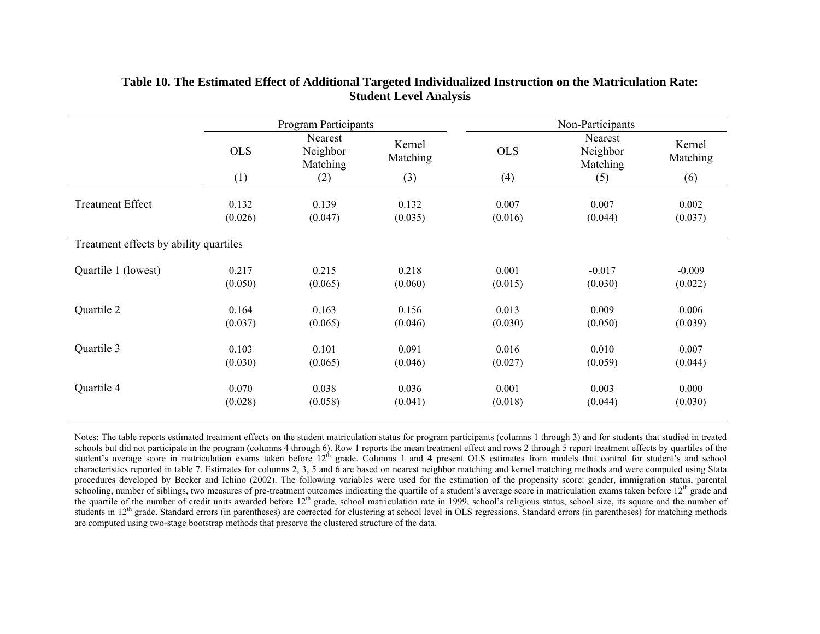|                                        |                   | <b>Program Participants</b>            |                           |                   | Non-Participants                       |                           |
|----------------------------------------|-------------------|----------------------------------------|---------------------------|-------------------|----------------------------------------|---------------------------|
|                                        | <b>OLS</b><br>(1) | Nearest<br>Neighbor<br>Matching<br>(2) | Kernel<br>Matching<br>(3) | <b>OLS</b><br>(4) | Nearest<br>Neighbor<br>Matching<br>(5) | Kernel<br>Matching<br>(6) |
|                                        |                   |                                        |                           |                   |                                        |                           |
| <b>Treatment Effect</b>                | 0.132             | 0.139                                  | 0.132                     | 0.007             | 0.007                                  | 0.002                     |
|                                        | (0.026)           | (0.047)                                | (0.035)                   | (0.016)           | (0.044)                                | (0.037)                   |
| Treatment effects by ability quartiles |                   |                                        |                           |                   |                                        |                           |
| Quartile 1 (lowest)                    | 0.217             | 0.215                                  | 0.218                     | 0.001             | $-0.017$                               | $-0.009$                  |
|                                        | (0.050)           | (0.065)                                | (0.060)                   | (0.015)           | (0.030)                                | (0.022)                   |
| Quartile 2                             | 0.164             | 0.163                                  | 0.156                     | 0.013             | 0.009                                  | 0.006                     |
|                                        | (0.037)           | (0.065)                                | (0.046)                   | (0.030)           | (0.050)                                | (0.039)                   |
| Quartile 3                             | 0.103             | 0.101                                  | 0.091                     | 0.016             | 0.010                                  | 0.007                     |
|                                        | (0.030)           | (0.065)                                | (0.046)                   | (0.027)           | (0.059)                                | (0.044)                   |
| Quartile 4                             | 0.070             | 0.038                                  | 0.036                     | 0.001             | 0.003                                  | 0.000                     |
|                                        | (0.028)           | (0.058)                                | (0.041)                   | (0.018)           | (0.044)                                | (0.030)                   |

## **Table 10. The Estimated Effect of Additional Targeted Individualized Instruction on the Matriculation Rate: Student Level Analysis**

Notes: The table reports estimated treatment effects on the student matriculation status for program participants (columns 1 through 3) and for students that studied in treated schools but did not participate in the program (columns 4 through 6). Row 1 reports the mean treatment effect and rows 2 through 5 report treatment effects by quartiles of the student's average score in matriculation exams taken before 12<sup>th</sup> grade. Columns 1 and 4 present OLS estimates from models that control for student's and school characteristics reported in table 7. Estimates for columns 2, 3, 5 and 6 are based on nearest neighbor matching and kernel matching methods and were computed using Stata procedures developed by Becker and Ichino (2002). The following variables were used for the estimation of the propensity score: gender, immigration status, parental schooling, number of siblings, two measures of pre-treatment outcomes indicating the quartile of a student's average score in matriculation exams taken before  $12<sup>th</sup>$  grade and the quartile of the number of credit units awarded before 12<sup>th</sup> grade, school matriculation rate in 1999, school's religious status, school size, its square and the number of students in 12<sup>th</sup> grade. Standard errors (in parentheses) are corrected for clustering at school level in OLS regressions. Standard errors (in parentheses) for matching methods are computed using two-stage bootstrap methods that preserve the clustered structure of the data.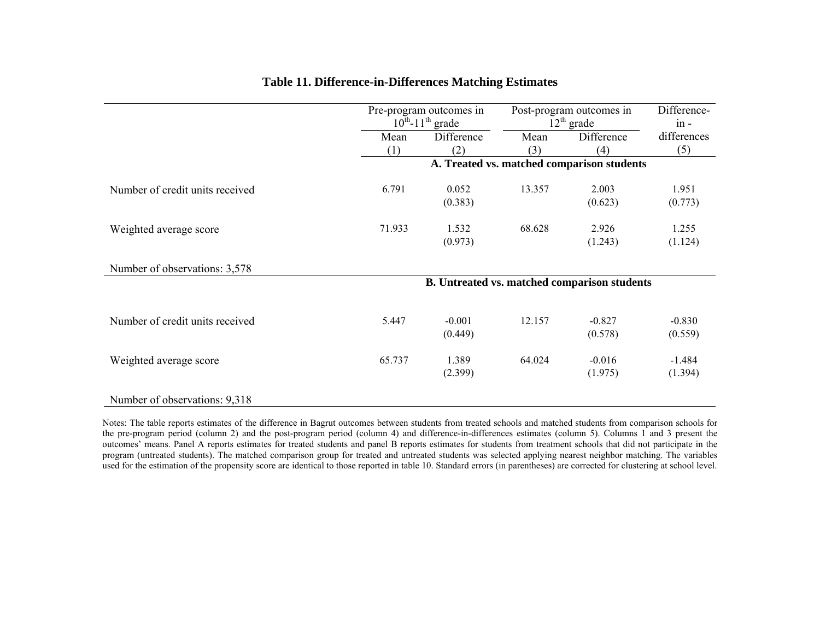|                                 | Pre-program outcomes in<br>$10^{th}$ -11 <sup>th</sup> grade |            | Post-program outcomes in<br>$12^{th}$ grade | Difference-<br>$in -$                        |             |
|---------------------------------|--------------------------------------------------------------|------------|---------------------------------------------|----------------------------------------------|-------------|
|                                 | Mean                                                         | Difference | Mean                                        | Difference                                   | differences |
|                                 | (1)                                                          | (2)        | (3)                                         | (4)                                          | (5)         |
|                                 |                                                              |            |                                             | A. Treated vs. matched comparison students   |             |
| Number of credit units received | 6.791                                                        | 0.052      | 13.357                                      | 2.003                                        | 1.951       |
|                                 |                                                              | (0.383)    |                                             | (0.623)                                      | (0.773)     |
| Weighted average score          | 71.933                                                       | 1.532      | 68.628                                      | 2.926                                        | 1.255       |
|                                 |                                                              | (0.973)    |                                             | (1.243)                                      | (1.124)     |
| Number of observations: 3,578   |                                                              |            |                                             |                                              |             |
|                                 |                                                              |            |                                             | B. Untreated vs. matched comparison students |             |
|                                 |                                                              |            |                                             |                                              |             |
| Number of credit units received | 5.447                                                        | $-0.001$   | 12.157                                      | $-0.827$                                     | $-0.830$    |
|                                 |                                                              | (0.449)    |                                             | (0.578)                                      | (0.559)     |
| Weighted average score          | 65.737                                                       | 1.389      | 64.024                                      | $-0.016$                                     | $-1.484$    |
|                                 |                                                              | (2.399)    |                                             | (1.975)                                      | (1.394)     |
| Number of observations: 9,318   |                                                              |            |                                             |                                              |             |

## **Table 11. Difference-in-Differences Matching Estimates**

Notes: The table reports estimates of the difference in Bagrut outcomes between students from treated schools and matched students from comparison schools for the pre-program period (column 2) and the post-program period (column 4) and difference-in-differences estimates (column 5). Columns 1 and 3 present the outcomes' means. Panel A reports estimates for treated students and panel B reports estimates for students from treatment schools that did not participate in the program (untreated students). The matched comparison group for treated and untreated students was selected applying nearest neighbor matching. The variables used for the estimation of the propensity score are identical to those reported in table 10. Standard errors (in parentheses) are corrected for clustering at school level.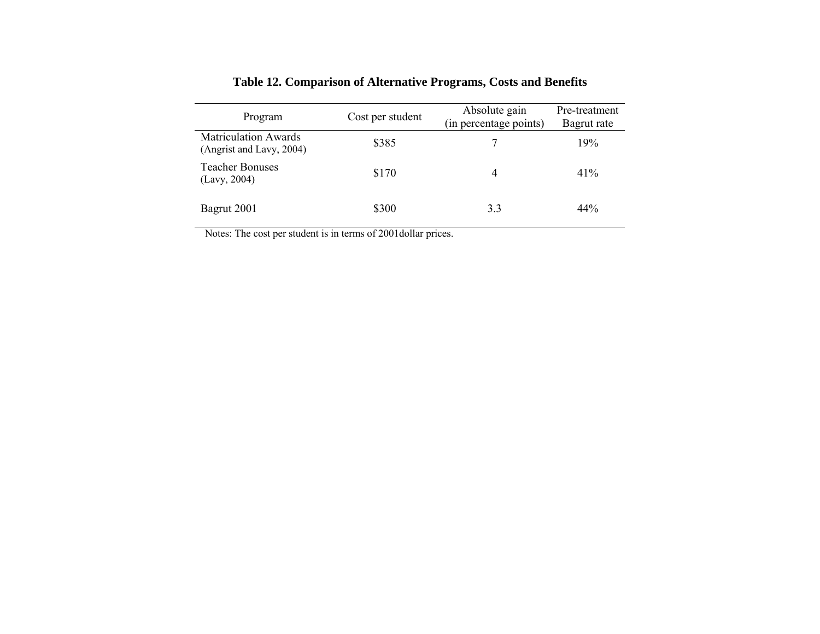| Program                                                 | Cost per student | Absolute gain<br>(in percentage points) | Pre-treatment<br>Bagrut rate |
|---------------------------------------------------------|------------------|-----------------------------------------|------------------------------|
| <b>Matriculation Awards</b><br>(Angrist and Lavy, 2004) | \$385            |                                         | 19%                          |
| <b>Teacher Bonuses</b><br>(Lavy, 2004)                  | \$170            | 4                                       | 41%                          |
| Bagrut 2001                                             | \$300            | 3.3                                     | 44%                          |

# **Table 12. Comparison of Alternative Programs, Costs and Benefits**

Notes: The cost per student is in terms of 2001dollar prices.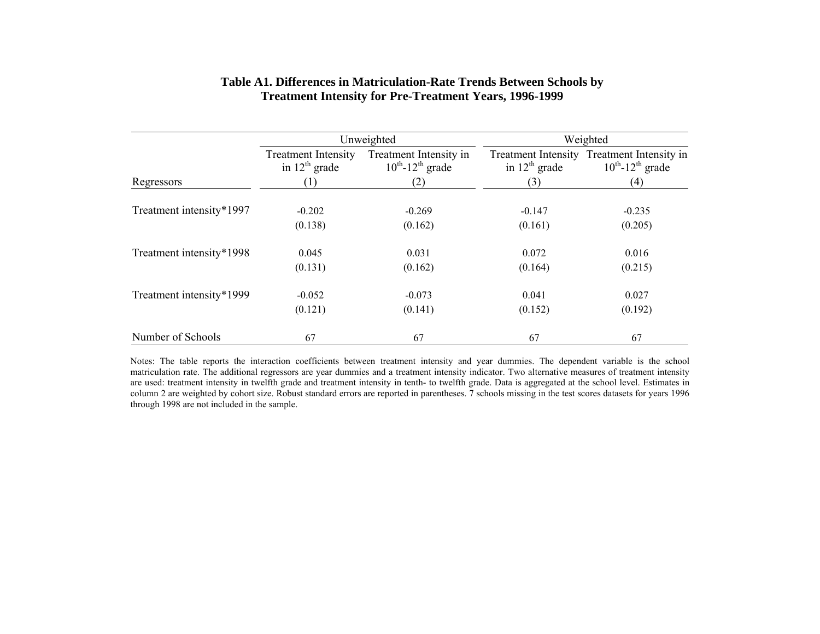|                          |                                                  | Unweighted                                                  | Weighted           |                                                                                 |  |
|--------------------------|--------------------------------------------------|-------------------------------------------------------------|--------------------|---------------------------------------------------------------------------------|--|
|                          | <b>Treatment Intensity</b><br>in $12^{th}$ grade | Treatment Intensity in<br>$10^{th}$ -12 <sup>th</sup> grade | in $12^{th}$ grade | Treatment Intensity Treatment Intensity in<br>$10^{th}$ -12 <sup>th</sup> grade |  |
| Regressors               |                                                  | (2)                                                         | (3)                | (4)                                                                             |  |
| Treatment intensity*1997 | $-0.202$                                         | $-0.269$                                                    | $-0.147$           | $-0.235$                                                                        |  |
|                          | (0.138)                                          | (0.162)                                                     | (0.161)            | (0.205)                                                                         |  |
| Treatment intensity*1998 | 0.045                                            | 0.031                                                       | 0.072              | 0.016                                                                           |  |
|                          | (0.131)                                          | (0.162)                                                     | (0.164)            | (0.215)                                                                         |  |
| Treatment intensity*1999 | $-0.052$                                         | $-0.073$                                                    | 0.041              | 0.027                                                                           |  |
|                          | (0.121)                                          | (0.141)                                                     | (0.152)            | (0.192)                                                                         |  |
| Number of Schools        | 67                                               | 67                                                          | 67                 | 67                                                                              |  |

### **Table A1. Differences in Matriculation-Rate Trends Between Schools by Treatment Intensity for Pre-Treatment Years, 1996-1999**

Notes: The table reports the interaction coefficients between treatment intensity and year dummies. The dependent variable is the school matriculation rate. The additional regressors are year dummies and a treatment intensity indicator. Two alternative measures of treatment intensity are used: treatment intensity in twelfth grade and treatment intensity in tenth- to twelfth grade. Data is aggregated at the school level. Estimates in column 2 are weighted by cohort size. Robust standard errors are reported in parentheses. 7 schools missing in the test scores datasets for years 1996 through 1998 are not included in the sample.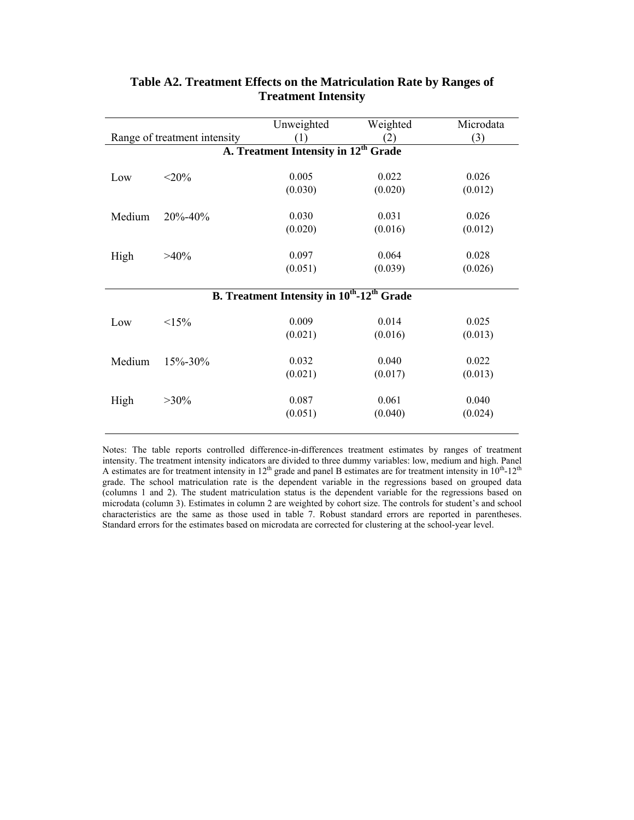| Range of treatment intensity                                              |                                                  | Unweighted | Weighted | Microdata |  |  |  |
|---------------------------------------------------------------------------|--------------------------------------------------|------------|----------|-----------|--|--|--|
|                                                                           |                                                  | (1)        | (2)      | (3)       |  |  |  |
|                                                                           | A. Treatment Intensity in 12 <sup>th</sup> Grade |            |          |           |  |  |  |
| Low                                                                       | $<$ 20%                                          | 0.005      | 0.022    | 0.026     |  |  |  |
|                                                                           |                                                  | (0.030)    | (0.020)  | (0.012)   |  |  |  |
| Medium                                                                    | 20%-40%                                          | 0.030      | 0.031    | 0.026     |  |  |  |
|                                                                           |                                                  | (0.020)    | (0.016)  | (0.012)   |  |  |  |
| High                                                                      | $>40\%$                                          | 0.097      | 0.064    | 0.028     |  |  |  |
|                                                                           |                                                  | (0.051)    | (0.039)  | (0.026)   |  |  |  |
| <b>B.</b> Treatment Intensity in 10 <sup>th</sup> -12 <sup>th</sup> Grade |                                                  |            |          |           |  |  |  |
| Low                                                                       | $15\%$                                           | 0.009      | 0.014    | 0.025     |  |  |  |
|                                                                           |                                                  | (0.021)    | (0.016)  | (0.013)   |  |  |  |
| Medium                                                                    | $15\% - 30\%$                                    | 0.032      | 0.040    | 0.022     |  |  |  |
|                                                                           |                                                  | (0.021)    | (0.017)  | (0.013)   |  |  |  |
| High                                                                      | $>30\%$                                          | 0.087      | 0.061    | 0.040     |  |  |  |
|                                                                           |                                                  | (0.051)    | (0.040)  | (0.024)   |  |  |  |
|                                                                           |                                                  |            |          |           |  |  |  |

# **Table A2. Treatment Effects on the Matriculation Rate by Ranges of Treatment Intensity**

Notes: The table reports controlled difference-in-differences treatment estimates by ranges of treatment intensity. The treatment intensity indicators are divided to three dummy variables: low, medium and high. Panel A estimates are for treatment intensity in  $12<sup>th</sup>$  grade and panel B estimates are for treatment intensity in  $10<sup>th</sup>$ -12<sup>th</sup> grade. The school matriculation rate is the dependent variable in the regressions based on grouped data (columns 1 and 2). The student matriculation status is the dependent variable for the regressions based on microdata (column 3). Estimates in column 2 are weighted by cohort size. The controls for student's and school characteristics are the same as those used in table 7. Robust standard errors are reported in parentheses. Standard errors for the estimates based on microdata are corrected for clustering at the school-year level.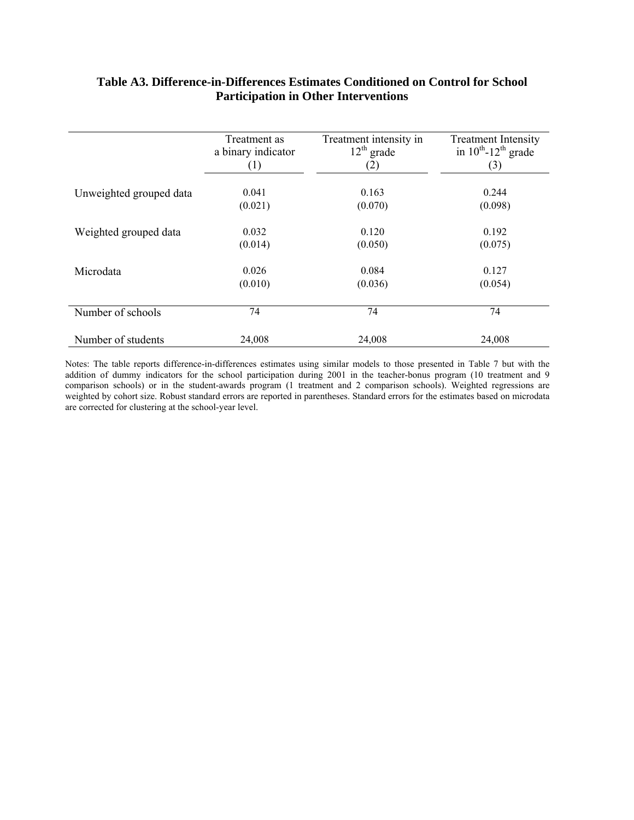# **Table A3. Difference-in-Differences Estimates Conditioned on Control for School Participation in Other Interventions**

|                         | Treatment as       | Treatment intensity in | <b>Treatment Intensity</b>           |
|-------------------------|--------------------|------------------------|--------------------------------------|
|                         | a binary indicator | $12th$ grade           | in $10^{th}$ -12 <sup>th</sup> grade |
|                         | (1)                | (2)                    | (3)                                  |
| Unweighted grouped data | 0.041              | 0.163                  | 0.244                                |
|                         | (0.021)            | (0.070)                | (0.098)                              |
| Weighted grouped data   | 0.032              | 0.120                  | 0.192                                |
|                         | (0.014)            | (0.050)                | (0.075)                              |
| Microdata               | 0.026              | 0.084                  | 0.127                                |
|                         | (0.010)            | (0.036)                | (0.054)                              |
| Number of schools       | 74                 | 74                     | 74                                   |
| Number of students      | 24,008             | 24,008                 | 24,008                               |

Notes: The table reports difference-in-differences estimates using similar models to those presented in Table 7 but with the addition of dummy indicators for the school participation during 2001 in the teacher-bonus program (10 treatment and 9 comparison schools) or in the student-awards program (1 treatment and 2 comparison schools). Weighted regressions are weighted by cohort size. Robust standard errors are reported in parentheses. Standard errors for the estimates based on microdata are corrected for clustering at the school-year level.